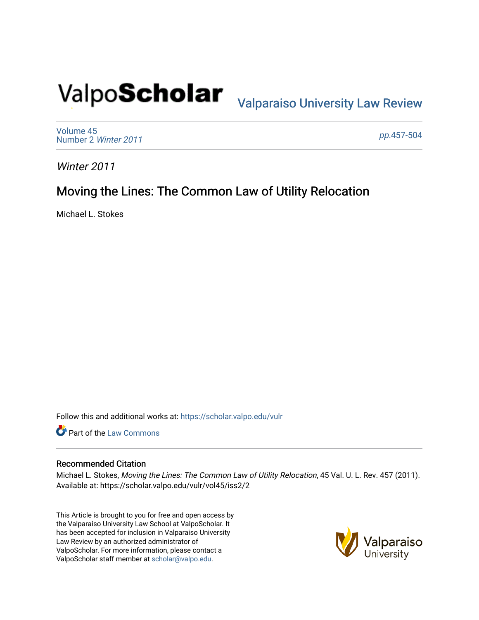# Valpo**Scholar** <sub>Valparaiso University Law Review</sub>

[Volume 45](https://scholar.valpo.edu/vulr/vol45) [Number 2](https://scholar.valpo.edu/vulr/vol45/iss2) Winter 2011

pp.[457-504](https://scholar.valpo.edu/vulr/vol45/iss2/2) 

Winter 2011

# Moving the Lines: The Common Law of Utility Relocation

Michael L. Stokes

Follow this and additional works at: [https://scholar.valpo.edu/vulr](https://scholar.valpo.edu/vulr?utm_source=scholar.valpo.edu%2Fvulr%2Fvol45%2Fiss2%2F2&utm_medium=PDF&utm_campaign=PDFCoverPages)

**Part of the [Law Commons](http://network.bepress.com/hgg/discipline/578?utm_source=scholar.valpo.edu%2Fvulr%2Fvol45%2Fiss2%2F2&utm_medium=PDF&utm_campaign=PDFCoverPages)** 

# Recommended Citation

Michael L. Stokes, Moving the Lines: The Common Law of Utility Relocation, 45 Val. U. L. Rev. 457 (2011). Available at: https://scholar.valpo.edu/vulr/vol45/iss2/2

This Article is brought to you for free and open access by the Valparaiso University Law School at ValpoScholar. It has been accepted for inclusion in Valparaiso University Law Review by an authorized administrator of ValpoScholar. For more information, please contact a ValpoScholar staff member at [scholar@valpo.edu](mailto:scholar@valpo.edu).

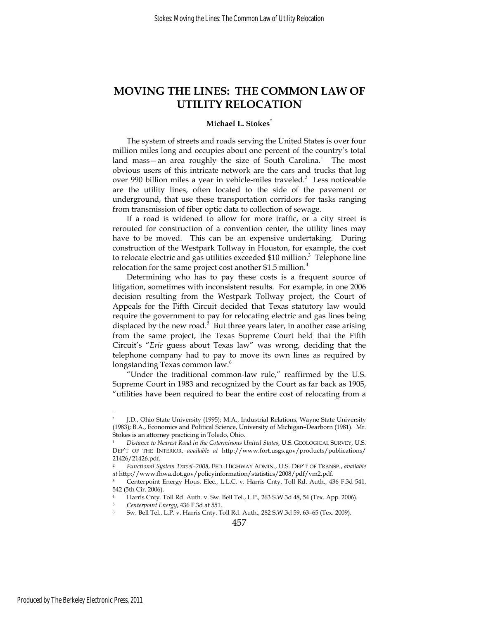# **MOVING THE LINES: THE COMMON LAW OF UTILITY RELOCATION**

#### **Michael L. Stokes**\*

The system of streets and roads serving the United States is over four million miles long and occupies about one percent of the country's total land mass—an area roughly the size of South Carolina.<sup>1</sup> The most obvious users of this intricate network are the cars and trucks that log over 990 billion miles a year in vehicle-miles traveled.<sup>2</sup> Less noticeable are the utility lines, often located to the side of the pavement or underground, that use these transportation corridors for tasks ranging from transmission of fiber optic data to collection of sewage.

If a road is widened to allow for more traffic, or a city street is rerouted for construction of a convention center, the utility lines may have to be moved. This can be an expensive undertaking. During construction of the Westpark Tollway in Houston, for example, the cost to relocate electric and gas utilities exceeded \$10 million.<sup>3</sup> Telephone line relocation for the same project cost another \$1.5 million.<sup>4</sup>

Determining who has to pay these costs is a frequent source of litigation, sometimes with inconsistent results. For example, in one 2006 decision resulting from the Westpark Tollway project, the Court of Appeals for the Fifth Circuit decided that Texas statutory law would require the government to pay for relocating electric and gas lines being displaced by the new road.<sup>5</sup> But three years later, in another case arising from the same project, the Texas Supreme Court held that the Fifth Circuit's "*Erie* guess about Texas law" was wrong, deciding that the telephone company had to pay to move its own lines as required by longstanding Texas common law.<sup>6</sup>

"Under the traditional common-law rule," reaffirmed by the U.S. Supreme Court in 1983 and recognized by the Court as far back as 1905, "utilities have been required to bear the entire cost of relocating from a

<sup>\*</sup> J.D., Ohio State University (1995); M.A., Industrial Relations, Wayne State University (1983); B.A., Economics and Political Science, University of Michigan–Dearborn (1981). Mr. Stokes is an attorney practicing in Toledo, Ohio.

<sup>1</sup> *Distance to Nearest Road in the Coterminous United States*, U.S. GEOLOGICAL SURVEY, U.S. DEP'T OF THE INTERIOR, *available at* http://www.fort.usgs.gov/products/publications/ 21426/21426.pdf.

<sup>2</sup> *Functional System Travel–2008*, FED. HIGHWAY ADMIN., U.S. DEP'T OF TRANSP., *available at* http://www.fhwa.dot.gov/policyinformation/statistics/2008/pdf/vm2.pdf.

<sup>3</sup> Centerpoint Energy Hous. Elec., L.L.C. v. Harris Cnty. Toll Rd. Auth., 436 F.3d 541, 542 (5th Cir. 2006).

Harris Cnty. Toll Rd. Auth. v. Sw. Bell Tel., L.P., 263 S.W.3d 48, 54 (Tex. App. 2006).<br>Centerpoint Energy, 436 F.3d at 551.<br>Sw. Bell Tel., L.P. v. Harris Cnty. Toll Rd. Auth., 282 S.W.3d 59, 63–65 (Tex. 2009).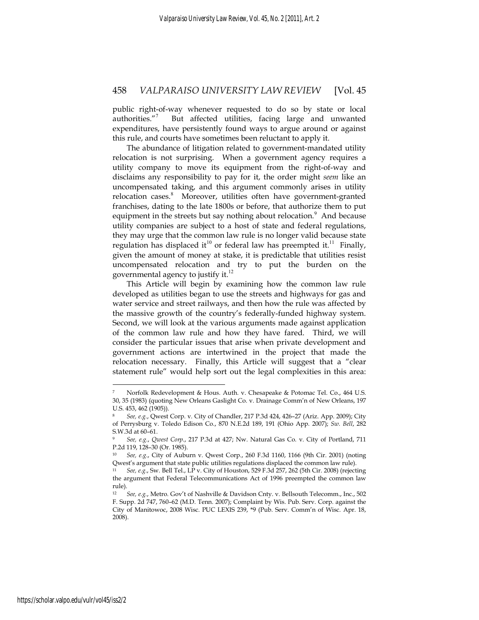public right-of-way whenever requested to do so by state or local authorities."<sup>7</sup> But affected utilities, facing large and unwanted expenditures, have persistently found ways to argue around or against this rule, and courts have sometimes been reluctant to apply it.

The abundance of litigation related to government-mandated utility relocation is not surprising. When a government agency requires a utility company to move its equipment from the right-of-way and disclaims any responsibility to pay for it, the order might *seem* like an uncompensated taking, and this argument commonly arises in utility relocation cases.<sup>8</sup> Moreover, utilities often have government-granted franchises, dating to the late 1800s or before, that authorize them to put equipment in the streets but say nothing about relocation.<sup>9</sup> And because utility companies are subject to a host of state and federal regulations, they may urge that the common law rule is no longer valid because state regulation has displaced it<sup>10</sup> or federal law has preempted it.<sup>11</sup> Finally, given the amount of money at stake, it is predictable that utilities resist uncompensated relocation and try to put the burden on the governmental agency to justify it. $^{12}$ 

This Article will begin by examining how the common law rule developed as utilities began to use the streets and highways for gas and water service and street railways, and then how the rule was affected by the massive growth of the country's federally-funded highway system. Second, we will look at the various arguments made against application of the common law rule and how they have fared. Third, we will consider the particular issues that arise when private development and government actions are intertwined in the project that made the relocation necessary. Finally, this Article will suggest that a "clear statement rule" would help sort out the legal complexities in this area:

Norfolk Redevelopment & Hous. Auth. v. Chesapeake & Potomac Tel. Co., 464 U.S. 30, 35 (1983) (quoting New Orleans Gaslight Co. v. Drainage Comm'n of New Orleans, 197 U.S. 453, 462 (1905)).

<sup>8</sup> *See, e.g.*, Qwest Corp. v. City of Chandler, 217 P.3d 424, 426–27 (Ariz. App. 2009); City of Perrysburg v. Toledo Edison Co., 870 N.E.2d 189, 191 (Ohio App. 2007); *Sw. Bell*, 282 S.W.3d at 60–61.

<sup>9</sup> *See, e.g.*, *Qwest Corp.*, 217 P.3d at 427; Nw. Natural Gas Co. v. City of Portland, 711 P.2d 119, 128–30 (Or. 1985).

<sup>10</sup> *See, e.g.*, City of Auburn v. Qwest Corp., 260 F.3d 1160, 1166 (9th Cir. 2001) (noting Qwest's argument that state public utilities regulations displaced the common law rule).

<sup>11</sup> *See, e.g.*, Sw. Bell Tel., LP v. City of Houston, 529 F.3d 257, 262 (5th Cir. 2008) (rejecting the argument that Federal Telecommunications Act of 1996 preempted the common law rule).

<sup>12</sup> *See, e.g.*, Metro. Gov't of Nashville & Davidson Cnty. v. Bellsouth Telecomm., Inc., 502 F. Supp. 2d 747, 760–62 (M.D. Tenn. 2007); Complaint by Wis. Pub. Serv. Corp. against the City of Manitowoc, 2008 Wisc. PUC LEXIS 239, \*9 (Pub. Serv. Comm'n of Wisc. Apr. 18, 2008).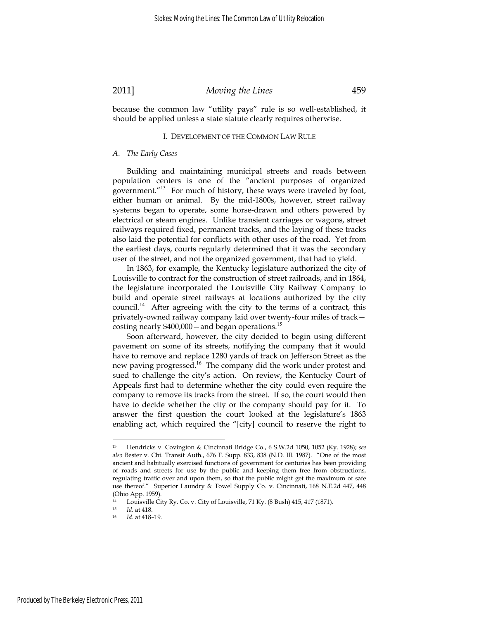because the common law "utility pays" rule is so well-established, it should be applied unless a state statute clearly requires otherwise.

#### I. DEVELOPMENT OF THE COMMON LAW RULE

#### *A. The Early Cases*

Building and maintaining municipal streets and roads between population centers is one of the "ancient purposes of organized government."<sup>13</sup> For much of history, these ways were traveled by foot, either human or animal. By the mid-1800s, however, street railway systems began to operate, some horse-drawn and others powered by electrical or steam engines. Unlike transient carriages or wagons, street railways required fixed, permanent tracks, and the laying of these tracks also laid the potential for conflicts with other uses of the road. Yet from the earliest days, courts regularly determined that it was the secondary user of the street, and not the organized government, that had to yield.

In 1863, for example, the Kentucky legislature authorized the city of Louisville to contract for the construction of street railroads, and in 1864, the legislature incorporated the Louisville City Railway Company to build and operate street railways at locations authorized by the city council.<sup>14</sup> After agreeing with the city to the terms of a contract, this privately-owned railway company laid over twenty-four miles of track costing nearly  $$400,000$  – and began operations.<sup>15</sup>

Soon afterward, however, the city decided to begin using different pavement on some of its streets, notifying the company that it would have to remove and replace 1280 yards of track on Jefferson Street as the new paving progressed.<sup>16</sup> The company did the work under protest and sued to challenge the city's action. On review, the Kentucky Court of Appeals first had to determine whether the city could even require the company to remove its tracks from the street. If so, the court would then have to decide whether the city or the company should pay for it. To answer the first question the court looked at the legislature's 1863 enabling act, which required the "[city] council to reserve the right to

<sup>13</sup> Hendricks v. Covington & Cincinnati Bridge Co., 6 S.W.2d 1050, 1052 (Ky. 1928); *see also* Bester v. Chi. Transit Auth., 676 F. Supp. 833, 838 (N.D. Ill. 1987). "One of the most ancient and habitually exercised functions of government for centuries has been providing of roads and streets for use by the public and keeping them free from obstructions, regulating traffic over and upon them, so that the public might get the maximum of safe use thereof." Superior Laundry & Towel Supply Co. v. Cincinnati, 168 N.E.2d 447, 448 (Ohio App. 1959).

<sup>&</sup>lt;sup>14</sup> Louisville City Ry. Co. v. City of Louisville, 71 Ky. (8 Bush) 415, 417 (1871).<br><sup>15</sup>  $Id$  at 418

 $15$  *Id.* at 418.<br> $16$  *Id.* at 418.

<sup>16</sup> *Id.* at 418–19.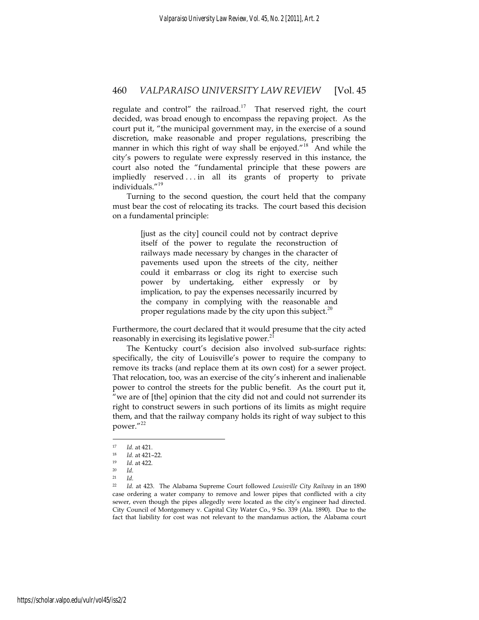regulate and control" the railroad.<sup>17</sup> That reserved right, the court decided, was broad enough to encompass the repaving project. As the court put it, "the municipal government may, in the exercise of a sound discretion, make reasonable and proper regulations, prescribing the manner in which this right of way shall be enjoyed."<sup>18</sup> And while the city's powers to regulate were expressly reserved in this instance, the court also noted the "fundamental principle that these powers are impliedly reserved . . . in all its grants of property to private individuals."<sup>19</sup>

Turning to the second question, the court held that the company must bear the cost of relocating its tracks. The court based this decision on a fundamental principle:

> [just as the city] council could not by contract deprive itself of the power to regulate the reconstruction of railways made necessary by changes in the character of pavements used upon the streets of the city, neither could it embarrass or clog its right to exercise such power by undertaking, either expressly or by implication, to pay the expenses necessarily incurred by the company in complying with the reasonable and proper regulations made by the city upon this subject.<sup>20</sup>

Furthermore, the court declared that it would presume that the city acted reasonably in exercising its legislative power.<sup>2</sup>

The Kentucky court's decision also involved sub-surface rights: specifically, the city of Louisville's power to require the company to remove its tracks (and replace them at its own cost) for a sewer project. That relocation, too, was an exercise of the city's inherent and inalienable power to control the streets for the public benefit. As the court put it, "we are of [the] opinion that the city did not and could not surrender its right to construct sewers in such portions of its limits as might require them, and that the railway company holds its right of way subject to this power."<sup>22</sup>

<sup>17</sup> *Id.* at 421. 18 *Id.* at 421–22. 19 *Id.* at 422. 20 *Id.*

 $\frac{21}{22}$  *Id.* 

<sup>22</sup> *Id.* at 423. The Alabama Supreme Court followed *Louisville City Railway* in an 1890 case ordering a water company to remove and lower pipes that conflicted with a city sewer, even though the pipes allegedly were located as the city's engineer had directed. City Council of Montgomery v. Capital City Water Co., 9 So. 339 (Ala. 1890). Due to the fact that liability for cost was not relevant to the mandamus action, the Alabama court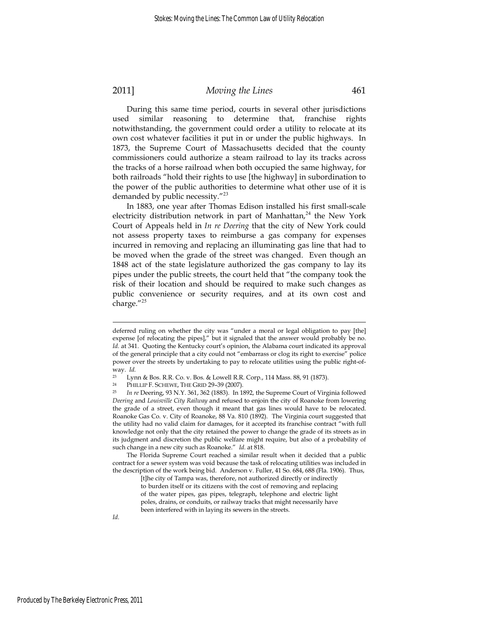During this same time period, courts in several other jurisdictions used similar reasoning to determine that, franchise rights notwithstanding, the government could order a utility to relocate at its own cost whatever facilities it put in or under the public highways. In 1873, the Supreme Court of Massachusetts decided that the county commissioners could authorize a steam railroad to lay its tracks across the tracks of a horse railroad when both occupied the same highway, for both railroads "hold their rights to use [the highway] in subordination to the power of the public authorities to determine what other use of it is demanded by public necessity."<sup>23</sup>

In 1883, one year after Thomas Edison installed his first small-scale electricity distribution network in part of Manhattan,<sup>24</sup> the New York Court of Appeals held in *In re Deering* that the city of New York could not assess property taxes to reimburse a gas company for expenses incurred in removing and replacing an illuminating gas line that had to be moved when the grade of the street was changed. Even though an 1848 act of the state legislature authorized the gas company to lay its pipes under the public streets, the court held that "the company took the risk of their location and should be required to make such changes as public convenience or security requires, and at its own cost and charge."<sup>25</sup>

*Id*.

deferred ruling on whether the city was "under a moral or legal obligation to pay [the] expense [of relocating the pipes]," but it signaled that the answer would probably be no. *Id.* at 341. Quoting the Kentucky court's opinion, the Alabama court indicated its approval of the general principle that a city could not "embarrass or clog its right to exercise" police power over the streets by undertaking to pay to relocate utilities using the public right-ofway. *Id.*

<sup>&</sup>lt;sup>23</sup> Lynn & Bos. R.R. Co. v. Bos. & Lowell R.R. Corp., 114 Mass. 88, 91 (1873).<br><sup>24</sup> PHILLIP F. SCHEWE, THE GRID 29-39 (2007).<br><sup>25</sup> In re Deering, 93 N.Y. 361, 362 (1883). In 1892, the Supreme Court of Virginia followed *Deering* and *Louisville City Railway* and refused to enjoin the city of Roanoke from lowering the grade of a street, even though it meant that gas lines would have to be relocated. Roanoke Gas Co. v. City of Roanoke, 88 Va. 810 (1892). The Virginia court suggested that the utility had no valid claim for damages, for it accepted its franchise contract "with full knowledge not only that the city retained the power to change the grade of its streets as in its judgment and discretion the public welfare might require, but also of a probability of such change in a new city such as Roanoke." *Id.* at 818.

The Florida Supreme Court reached a similar result when it decided that a public contract for a sewer system was void because the task of relocating utilities was included in the description of the work being bid. Anderson v. Fuller, 41 So. 684, 688 (Fla. 1906). Thus,

<sup>[</sup>t]he city of Tampa was, therefore, not authorized directly or indirectly to burden itself or its citizens with the cost of removing and replacing of the water pipes, gas pipes, telegraph, telephone and electric light poles, drains, or conduits, or railway tracks that might necessarily have been interfered with in laying its sewers in the streets.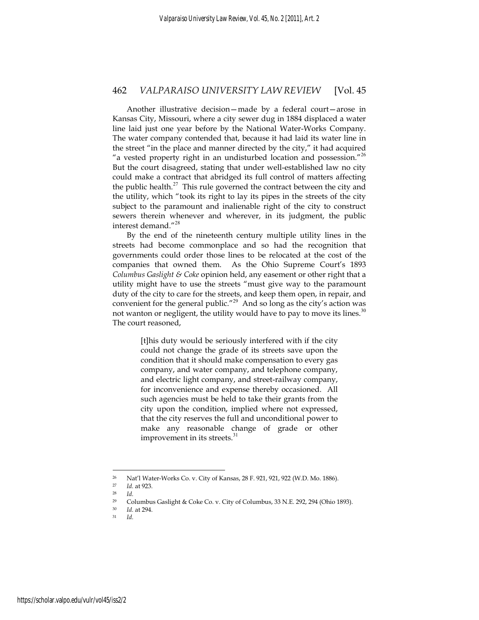Another illustrative decision—made by a federal court—arose in Kansas City, Missouri, where a city sewer dug in 1884 displaced a water line laid just one year before by the National Water-Works Company. The water company contended that, because it had laid its water line in the street "in the place and manner directed by the city," it had acquired "a vested property right in an undisturbed location and possession."<sup>26</sup> But the court disagreed, stating that under well-established law no city could make a contract that abridged its full control of matters affecting the public health. $^{27}$  This rule governed the contract between the city and the utility, which "took its right to lay its pipes in the streets of the city subject to the paramount and inalienable right of the city to construct sewers therein whenever and wherever, in its judgment, the public interest demand."<sup>28</sup>

By the end of the nineteenth century multiple utility lines in the streets had become commonplace and so had the recognition that governments could order those lines to be relocated at the cost of the companies that owned them. As the Ohio Supreme Court's 1893 *Columbus Gaslight & Coke* opinion held, any easement or other right that a utility might have to use the streets "must give way to the paramount duty of the city to care for the streets, and keep them open, in repair, and convenient for the general public."<sup>29</sup> And so long as the city's action was not wanton or negligent, the utility would have to pay to move its lines.<sup>30</sup> The court reasoned,

> [t]his duty would be seriously interfered with if the city could not change the grade of its streets save upon the condition that it should make compensation to every gas company, and water company, and telephone company, and electric light company, and street-railway company, for inconvenience and expense thereby occasioned. All such agencies must be held to take their grants from the city upon the condition, implied where not expressed, that the city reserves the full and unconditional power to make any reasonable change of grade or other improvement in its streets.<sup>31</sup>

<sup>&</sup>lt;sup>26</sup> Nat'l Water-Works Co. v. City of Kansas, 28 F. 921, 921, 922 (W.D. Mo. 1886).<br><sup>27</sup>  $Id$  at 923

<sup>27</sup> *Id.* at 923. 28 *Id.*

<sup>29</sup> Columbus Gaslight & Coke Co. v. City of Columbus, 33 N.E. 292, 294 (Ohio 1893).

<sup>30</sup> *Id.* at 294. 31 *Id.*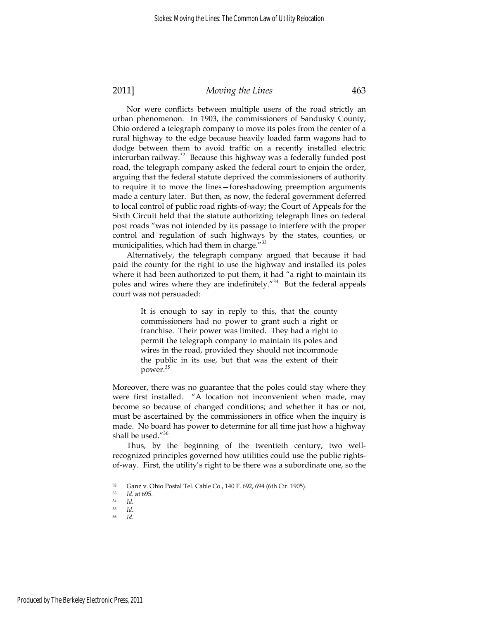Nor were conflicts between multiple users of the road strictly an urban phenomenon. In 1903, the commissioners of Sandusky County, Ohio ordered a telegraph company to move its poles from the center of a rural highway to the edge because heavily loaded farm wagons had to dodge between them to avoid traffic on a recently installed electric interurban railway.<sup>32</sup> Because this highway was a federally funded post road, the telegraph company asked the federal court to enjoin the order, arguing that the federal statute deprived the commissioners of authority to require it to move the lines—foreshadowing preemption arguments made a century later. But then, as now, the federal government deferred to local control of public road rights-of-way; the Court of Appeals for the Sixth Circuit held that the statute authorizing telegraph lines on federal post roads "was not intended by its passage to interfere with the proper control and regulation of such highways by the states, counties, or municipalities, which had them in charge."<sup>33</sup>

Alternatively, the telegraph company argued that because it had paid the county for the right to use the highway and installed its poles where it had been authorized to put them, it had "a right to maintain its poles and wires where they are indefinitely."<sup>34</sup> But the federal appeals court was not persuaded:

> It is enough to say in reply to this, that the county commissioners had no power to grant such a right or franchise. Their power was limited. They had a right to permit the telegraph company to maintain its poles and wires in the road, provided they should not incommode the public in its use, but that was the extent of their power.<sup>35</sup>

Moreover, there was no guarantee that the poles could stay where they were first installed. "A location not inconvenient when made, may become so because of changed conditions; and whether it has or not, must be ascertained by the commissioners in office when the inquiry is made. No board has power to determine for all time just how a highway shall be used."<sup>36</sup>

Thus, by the beginning of the twentieth century, two wellrecognized principles governed how utilities could use the public rightsof-way. First, the utility's right to be there was a subordinate one, so the

<sup>32</sup> Ganz v. Ohio Postal Tel. Cable Co., 140 F. 692, 694 (6th Cir. 1905).

<sup>33</sup> *Id.* at 695. 34 *Id.*

<sup>35</sup> *Id.*

<sup>36</sup> *Id.*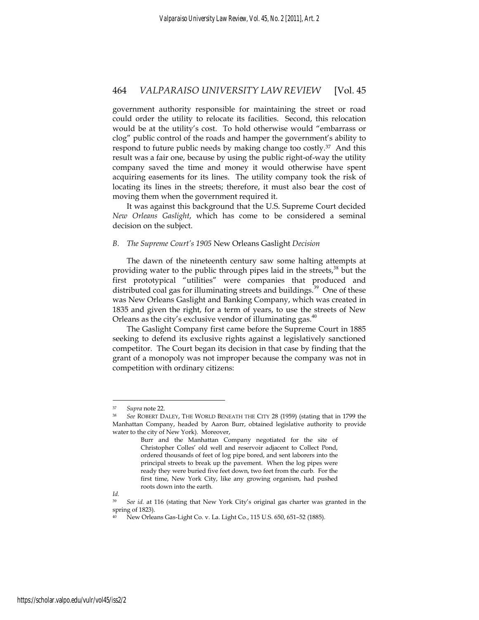government authority responsible for maintaining the street or road could order the utility to relocate its facilities. Second, this relocation would be at the utility's cost. To hold otherwise would "embarrass or clog" public control of the roads and hamper the government's ability to respond to future public needs by making change too costly.37 And this result was a fair one, because by using the public right-of-way the utility company saved the time and money it would otherwise have spent acquiring easements for its lines. The utility company took the risk of locating its lines in the streets; therefore, it must also bear the cost of moving them when the government required it.

It was against this background that the U.S. Supreme Court decided *New Orleans Gaslight*, which has come to be considered a seminal decision on the subject.

#### *B. The Supreme Court's 1905* New Orleans Gaslight *Decision*

The dawn of the nineteenth century saw some halting attempts at providing water to the public through pipes laid in the streets,<sup>38</sup> but the first prototypical "utilities" were companies that produced and distributed coal gas for illuminating streets and buildings.<sup>39</sup> One of these was New Orleans Gaslight and Banking Company, which was created in 1835 and given the right, for a term of years, to use the streets of New Orleans as the city's exclusive vendor of illuminating gas. $40$ 

The Gaslight Company first came before the Supreme Court in 1885 seeking to defend its exclusive rights against a legislatively sanctioned competitor. The Court began its decision in that case by finding that the grant of a monopoly was not improper because the company was not in competition with ordinary citizens:

<sup>37</sup>*Supra* note 22. 38 *See* ROBERT DALEY, THE WORLD BENEATH THE CITY 28 (1959) (stating that in 1799 the Manhattan Company, headed by Aaron Burr, obtained legislative authority to provide water to the city of New York). Moreover,

Burr and the Manhattan Company negotiated for the site of Christopher Colles' old well and reservoir adjacent to Collect Pond, ordered thousands of feet of log pipe bored, and sent laborers into the principal streets to break up the pavement. When the log pipes were ready they were buried five feet down, two feet from the curb. For the first time, New York City, like any growing organism, had pushed roots down into the earth.

*Id.*

<sup>39</sup> *See id.* at 116 (stating that New York City's original gas charter was granted in the spring of 1823).

New Orleans Gas-Light Co. v. La. Light Co., 115 U.S. 650, 651-52 (1885).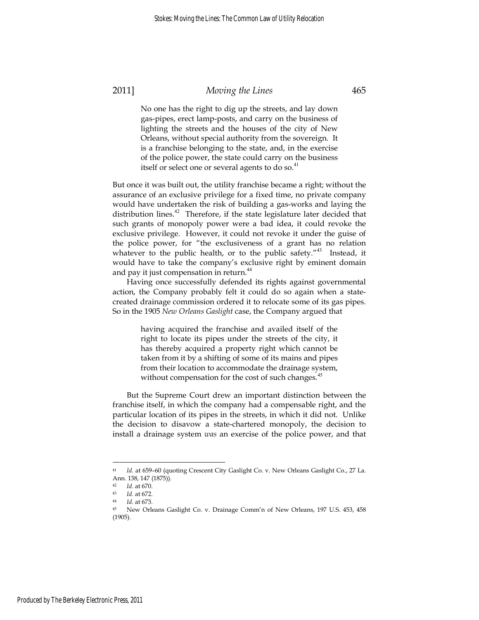No one has the right to dig up the streets, and lay down gas-pipes, erect lamp-posts, and carry on the business of lighting the streets and the houses of the city of New Orleans, without special authority from the sovereign. It is a franchise belonging to the state, and, in the exercise of the police power, the state could carry on the business itself or select one or several agents to do so.<sup>41</sup>

But once it was built out, the utility franchise became a right; without the assurance of an exclusive privilege for a fixed time, no private company would have undertaken the risk of building a gas-works and laying the distribution lines.<sup>42</sup> Therefore, if the state legislature later decided that such grants of monopoly power were a bad idea, it could revoke the exclusive privilege. However, it could not revoke it under the guise of the police power, for "the exclusiveness of a grant has no relation whatever to the public health, or to the public safety."<sup>43</sup> Instead, it would have to take the company's exclusive right by eminent domain and pay it just compensation in return.<sup>44</sup>

Having once successfully defended its rights against governmental action, the Company probably felt it could do so again when a statecreated drainage commission ordered it to relocate some of its gas pipes. So in the 1905 *New Orleans Gaslight* case, the Company argued that

> having acquired the franchise and availed itself of the right to locate its pipes under the streets of the city, it has thereby acquired a property right which cannot be taken from it by a shifting of some of its mains and pipes from their location to accommodate the drainage system, without compensation for the cost of such changes.<sup>45</sup>

But the Supreme Court drew an important distinction between the franchise itself, in which the company had a compensable right, and the particular location of its pipes in the streets, in which it did not. Unlike the decision to disavow a state-chartered monopoly, the decision to install a drainage system *was* an exercise of the police power, and that

<sup>41</sup> *Id.* at 659–60 (quoting Crescent City Gaslight Co. v. New Orleans Gaslight Co., 27 La. Ann. 138, 147 (1875)).<br><sup>42</sup> *Id.* at 670.

<sup>42</sup> *Id*. at 670. 43 *Id.* at 672. 44 *Id.* at 673. 45 New Orleans Gaslight Co. v. Drainage Comm'n of New Orleans, 197 U.S. 453, 458 (1905).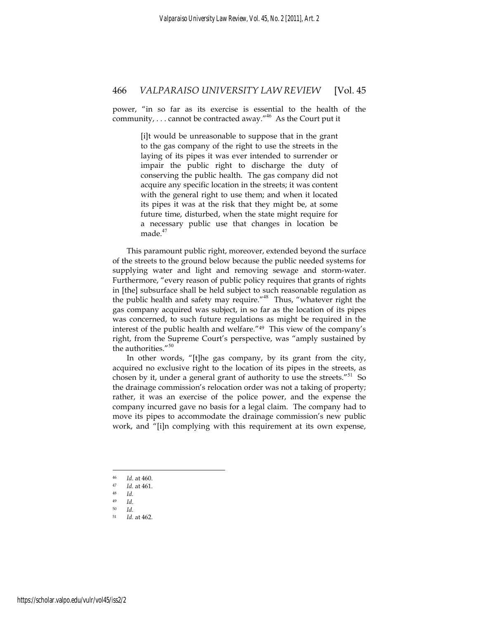power, "in so far as its exercise is essential to the health of the community,  $\dots$  cannot be contracted away."<sup>46</sup> As the Court put it

> [i]t would be unreasonable to suppose that in the grant to the gas company of the right to use the streets in the laying of its pipes it was ever intended to surrender or impair the public right to discharge the duty of conserving the public health. The gas company did not acquire any specific location in the streets; it was content with the general right to use them; and when it located its pipes it was at the risk that they might be, at some future time, disturbed, when the state might require for a necessary public use that changes in location be made.<sup>47</sup>

This paramount public right, moreover, extended beyond the surface of the streets to the ground below because the public needed systems for supplying water and light and removing sewage and storm-water. Furthermore, "every reason of public policy requires that grants of rights in [the] subsurface shall be held subject to such reasonable regulation as the public health and safety may require."<sup>48</sup> Thus, "whatever right the gas company acquired was subject, in so far as the location of its pipes was concerned, to such future regulations as might be required in the interest of the public health and welfare."49 This view of the company's right, from the Supreme Court's perspective, was "amply sustained by the authorities."<sup>50</sup>

In other words, "[t]he gas company, by its grant from the city, acquired no exclusive right to the location of its pipes in the streets, as chosen by it, under a general grant of authority to use the streets."<sup>51</sup> So the drainage commission's relocation order was not a taking of property; rather, it was an exercise of the police power, and the expense the company incurred gave no basis for a legal claim. The company had to move its pipes to accommodate the drainage commission's new public work, and "[i]n complying with this requirement at its own expense,

<sup>46</sup> *Id.* at 460. 47 *Id.* at 461. 48 *Id.*

<sup>49</sup>*Id*. 50 *Id.* Id. at 462.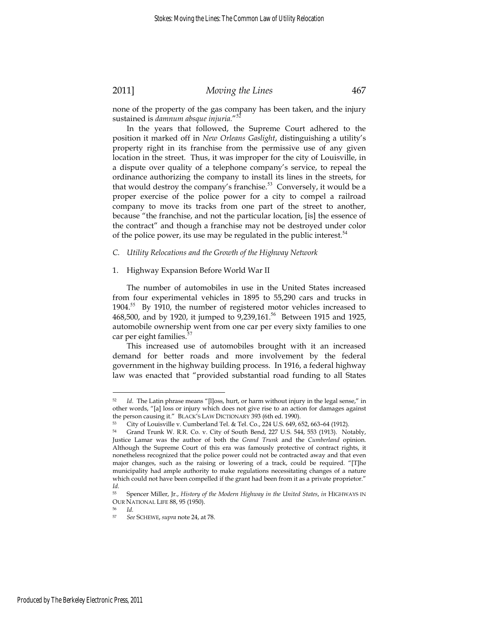none of the property of the gas company has been taken, and the injury sustained is *damnum absque injuria.*"<sup>52</sup>

In the years that followed, the Supreme Court adhered to the position it marked off in *New Orleans Gaslight*, distinguishing a utility's property right in its franchise from the permissive use of any given location in the street. Thus, it was improper for the city of Louisville, in a dispute over quality of a telephone company's service, to repeal the ordinance authorizing the company to install its lines in the streets, for that would destroy the company's franchise.<sup>53</sup> Conversely, it would be a proper exercise of the police power for a city to compel a railroad company to move its tracks from one part of the street to another, because "the franchise, and not the particular location, [is] the essence of the contract" and though a franchise may not be destroyed under color of the police power, its use may be regulated in the public interest. $54$ 

#### *C. Utility Relocations and the Growth of the Highway Network*

#### 1. Highway Expansion Before World War II

The number of automobiles in use in the United States increased from four experimental vehicles in 1895 to 55,290 cars and trucks in 1904.<sup>55</sup> By 1910, the number of registered motor vehicles increased to 468,500, and by 1920, it jumped to 9,239,161.<sup>56</sup> Between 1915 and 1925, automobile ownership went from one car per every sixty families to one car per eight families.<sup>5</sup>

This increased use of automobiles brought with it an increased demand for better roads and more involvement by the federal government in the highway building process. In 1916, a federal highway law was enacted that "provided substantial road funding to all States

Id. The Latin phrase means "[l]oss, hurt, or harm without injury in the legal sense," in other words, "[a] loss or injury which does not give rise to an action for damages against the person causing it." BLACK'S LAW DICTIONARY 393 (6th ed. 1990).<br><sup>53</sup> City of Louisville v. Cumberland Tel. & Tel. Co., 224 U.S. 649, 652, 663–64 (1912).

<sup>54</sup> Grand Trunk W. R.R. Co. v. City of South Bend, 227 U.S. 544, 553 (1913). Notably, Justice Lamar was the author of both the *Grand Trunk* and the *Cumberland* opinion. Although the Supreme Court of this era was famously protective of contract rights, it nonetheless recognized that the police power could not be contracted away and that even major changes, such as the raising or lowering of a track, could be required. "[T]he municipality had ample authority to make regulations necessitating changes of a nature which could not have been compelled if the grant had been from it as a private proprietor." *Id.*

<sup>55</sup> Spencer Miller, Jr., *History of the Modern Highway in the United States*, *in* HIGHWAYS IN OUR NATIONAL LIFE 88, 95 (1950).<br>
<sup>56</sup> *Id.*<br>
<sup>57</sup> See SCHEWE sunra note 24, at

<sup>57</sup> *See* SCHEWE, *supra* note 24, at 78.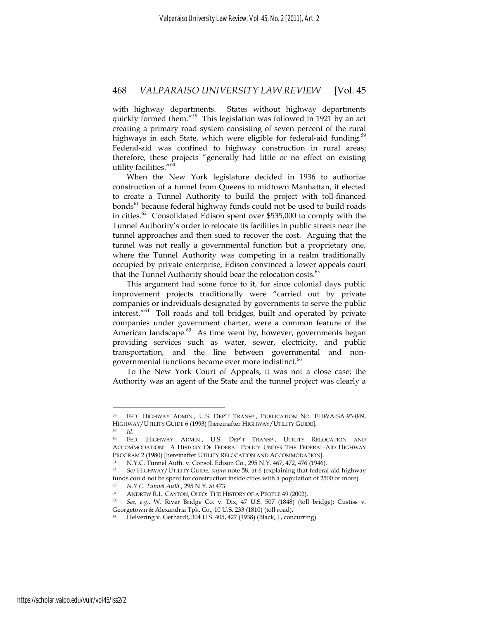with highway departments. States without highway departments quickly formed them."<sup>58</sup> This legislation was followed in 1921 by an act creating a primary road system consisting of seven percent of the rural highways in each State, which were eligible for federal-aid funding.<sup>59</sup> Federal-aid was confined to highway construction in rural areas; therefore, these projects "generally had little or no effect on existing utility facilities."<sup>60</sup>

When the New York legislature decided in 1936 to authorize construction of a tunnel from Queens to midtown Manhattan, it elected to create a Tunnel Authority to build the project with toll-financed bonds<sup>61</sup> because federal highway funds could not be used to build roads in cities.<sup>62</sup> Consolidated Edison spent over \$535,000 to comply with the Tunnel Authority's order to relocate its facilities in public streets near the tunnel approaches and then sued to recover the cost. Arguing that the tunnel was not really a governmental function but a proprietary one, where the Tunnel Authority was competing in a realm traditionally occupied by private enterprise, Edison convinced a lower appeals court that the Tunnel Authority should bear the relocation costs. $63$ 

This argument had some force to it, for since colonial days public improvement projects traditionally were "carried out by private companies or individuals designated by governments to serve the public interest."<sup>64</sup> Toll roads and toll bridges, built and operated by private companies under government charter, were a common feature of the American landscape. $65$  As time went by, however, governments began providing services such as water, sewer, electricity, and public transportation, and the line between governmental and nongovernmental functions became ever more indistinct.<sup>66</sup>

To the New York Court of Appeals, it was not a close case; the Authority was an agent of the State and the tunnel project was clearly a

FED. HIGHWAY ADMIN., U.S. DEP'T TRANSP., PUBLICATION NO. FHWA-SA-93-049, HIGHWAY/UTILITY GUIDE 6 (1993) [hereinafter HIGHWAY/UTILITY GUIDE]. 59 *Id.*

<sup>60</sup> FED. HIGHWAY ADMIN., U.S. DEP'T TRANSP., UTILITY RELOCATION AND ACCOMMODATION: A HISTORY OF FEDERAL POLICY UNDER THE FEDERAL-AID HIGHWAY PROGRAM 2 (1980) [hereinafter UTILITY RELOCATION AND ACCOMMODATION].<br>
<sup>61</sup> N.Y.C. Tunnel Auth. v. Consol. Edison Co., 295 N.Y. 467, 472, 476 (1946).<br>
<sup>62</sup> See HIGHWAY/UTILITY GUIDE, supra note 58, at 6 (explaining that fed

funds could not be spent for construction inside cities with a population of 2500 or more).

<sup>63</sup> *N.Y.C. Tunnel Auth.*, 295 N.Y*.* at 473. 64 ANDREW R.L. CAYTON, OHIO: THE HISTORY OF A PEOPLE 49 (2002). 65 *See, e.g.*, W. River Bridge Co. v. Dix, 47 U.S. 507 (1848) (toll bridge); Custiss v. Georgetown & Alexandria Tpk. Co., 10 U.S. 233 (1810) (toll road).

<sup>66</sup> Helvering v. Gerhardt, 304 U.S. 405, 427 (1938) (Black, J., concurring).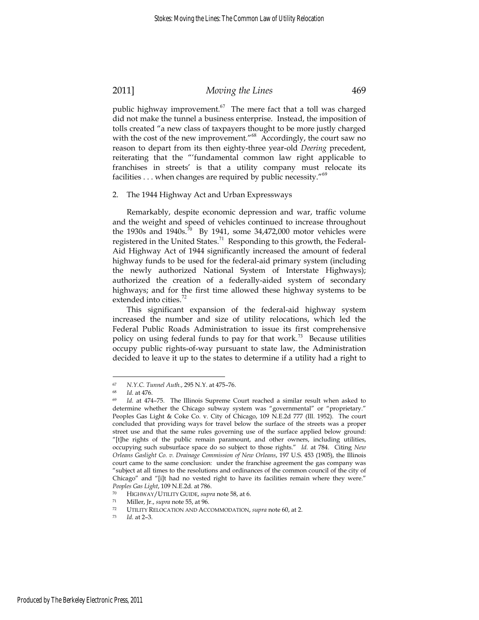public highway improvement.<sup>67</sup> The mere fact that a toll was charged did not make the tunnel a business enterprise. Instead, the imposition of tolls created "a new class of taxpayers thought to be more justly charged with the cost of the new improvement."<sup>68</sup> Accordingly, the court saw no reason to depart from its then eighty-three year-old *Deering* precedent, reiterating that the "'fundamental common law right applicable to franchises in streets' is that a utility company must relocate its facilities . . . when changes are required by public necessity."<sup>69</sup>

#### 2. The 1944 Highway Act and Urban Expressways

Remarkably, despite economic depression and war, traffic volume and the weight and speed of vehicles continued to increase throughout the 1930s and 1940s.<sup>70</sup> By 1941, some 34,472,000 motor vehicles were registered in the United States.<sup>71</sup> Responding to this growth, the Federal-Aid Highway Act of 1944 significantly increased the amount of federal highway funds to be used for the federal-aid primary system (including the newly authorized National System of Interstate Highways); authorized the creation of a federally-aided system of secondary highways; and for the first time allowed these highway systems to be extended into cities. $\frac{72}{2}$ 

This significant expansion of the federal-aid highway system increased the number and size of utility relocations, which led the Federal Public Roads Administration to issue its first comprehensive policy on using federal funds to pay for that work.<sup>73</sup> Because utilities occupy public rights-of-way pursuant to state law, the Administration decided to leave it up to the states to determine if a utility had a right to

<sup>67</sup> *N.Y.C. Tunnel Auth.*, 295 N.Y. at 475–76. 68 *Id.* at 476. 69 *Id.* at 474–75. The Illinois Supreme Court reached a similar result when asked to determine whether the Chicago subway system was "governmental" or "proprietary." Peoples Gas Light & Coke Co. v. City of Chicago, 109 N.E.2d 777 (Ill. 1952). The court concluded that providing ways for travel below the surface of the streets was a proper street use and that the same rules governing use of the surface applied below ground: "[t]he rights of the public remain paramount, and other owners, including utilities, occupying such subsurface space do so subject to those rights." *Id.* at 784. Citing *New Orleans Gaslight Co. v. Drainage Commission of New Orleans*, 197 U.S. 453 (1905), the Illinois court came to the same conclusion: under the franchise agreement the gas company was "subject at all times to the resolutions and ordinances of the common council of the city of Chicago" and "[i]t had no vested right to have its facilities remain where they were."

Peoples Gas Light, 109 N.E.2d. at 786.<br>
<sup>70</sup> HIGHWAY/UTILITY GUIDE, *supra* note 58, at 6.<br>
<sup>71</sup> Miller, Jr., *supra* note 55, at 96.<br>
<sup>72</sup> UTILITY RELOCATION AND ACCOMMODATION, *supra* note 60, at 2.<br> *Id.* at 2-3.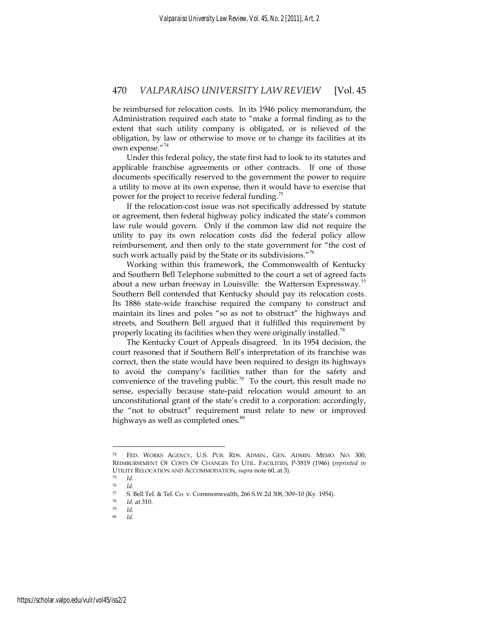be reimbursed for relocation costs. In its 1946 policy memorandum, the Administration required each state to "make a formal finding as to the extent that such utility company is obligated, or is relieved of the obligation, by law or otherwise to move or to change its facilities at its own expense."<sup>74</sup>

Under this federal policy, the state first had to look to its statutes and applicable franchise agreements or other contracts. If one of those documents specifically reserved to the government the power to require a utility to move at its own expense, then it would have to exercise that power for the project to receive federal funding.<sup>15</sup>

If the relocation-cost issue was not specifically addressed by statute or agreement, then federal highway policy indicated the state's common law rule would govern. Only if the common law did not require the utility to pay its own relocation costs did the federal policy allow reimbursement, and then only to the state government for "the cost of such work actually paid by the State or its subdivisions."<sup>76</sup>

Working within this framework, the Commonwealth of Kentucky and Southern Bell Telephone submitted to the court a set of agreed facts about a new urban freeway in Louisville: the Watterson Expressway.<sup>77</sup> Southern Bell contended that Kentucky should pay its relocation costs. Its 1886 state-wide franchise required the company to construct and maintain its lines and poles "so as not to obstruct" the highways and streets, and Southern Bell argued that it fulfilled this requirement by properly locating its facilities when they were originally installed.<sup>78</sup>

The Kentucky Court of Appeals disagreed. In its 1954 decision, the court reasoned that if Southern Bell's interpretation of its franchise was correct, then the state would have been required to design its highways to avoid the company's facilities rather than for the safety and convenience of the traveling public.<sup>79</sup> To the court, this result made no sense, especially because state-paid relocation would amount to an unconstitutional grant of the state's credit to a corporation: accordingly, the "not to obstruct" requirement must relate to new or improved highways as well as completed ones.<sup>80</sup>

<sup>74</sup> FED. WORKS AGENCY, U.S. PUB. RDS. ADMIN., GEN. ADMIN. MEMO. NO. 300, REIMBURSEMENT OF COSTS OF CHANGES TO UTIL. FACILITIES, P-3819 (1946) (*reprinted in* UTILITY RELOCATION AND ACCOMMODATION, *supra* note 60, at 3).<br>
<sup>75</sup> *Id.* 

<sup>76</sup> *Id.*

<sup>77</sup> S. Bell Tel. & Tel. Co. v. Commonwealth, 266 S.W.2d 308, 309–10 (Ky. 1954).

<sup>78</sup> *Id.* at 310. 79 *Id.*

<sup>80</sup> *Id.*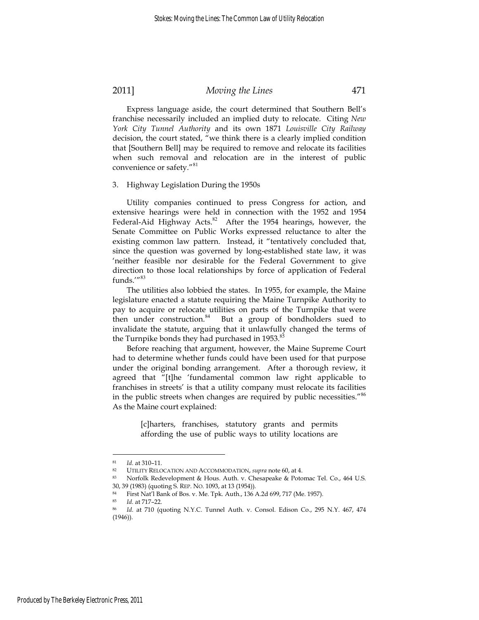Express language aside, the court determined that Southern Bell's franchise necessarily included an implied duty to relocate. Citing *New York City Tunnel Authority* and its own 1871 *Louisville City Railway* decision, the court stated, "we think there is a clearly implied condition that [Southern Bell] may be required to remove and relocate its facilities when such removal and relocation are in the interest of public convenience or safety."<sup>81</sup>

# 3. Highway Legislation During the 1950s

Utility companies continued to press Congress for action, and extensive hearings were held in connection with the 1952 and 1954 Federal-Aid Highway Acts. $82$  After the 1954 hearings, however, the Senate Committee on Public Works expressed reluctance to alter the existing common law pattern. Instead, it "tentatively concluded that, since the question was governed by long-established state law, it was 'neither feasible nor desirable for the Federal Government to give direction to those local relationships by force of application of Federal funds.'"<sup>83</sup>

The utilities also lobbied the states. In 1955, for example, the Maine legislature enacted a statute requiring the Maine Turnpike Authority to pay to acquire or relocate utilities on parts of the Turnpike that were then under construction.<sup>84</sup> But a group of bondholders sued to invalidate the statute, arguing that it unlawfully changed the terms of the Turnpike bonds they had purchased in  $1953$ .<sup>85</sup>

Before reaching that argument, however, the Maine Supreme Court had to determine whether funds could have been used for that purpose under the original bonding arrangement. After a thorough review, it agreed that "[t]he 'fundamental common law right applicable to franchises in streets' is that a utility company must relocate its facilities in the public streets when changes are required by public necessities."<sup>86</sup> As the Maine court explained:

> [c]harters, franchises, statutory grants and permits affording the use of public ways to utility locations are

<sup>81</sup> *Id.* at 310–11.<br>
82 UTILITY RELOCATION AND ACCOMMODATION, *supra* note 60, at 4.<br>
83 Norfolk Redevelopment & Hous. Auth. v. Chesapeake & Potomac Tel. Co., 464 U.S. 30, 39 (1983) (quoting S. REP. NO. 1093, at 13 (1954)). 84 First Nat'l Bank of Bos. v. Me. Tpk. Auth., 136 A.2d 699, 717 (Me. 1957).

<sup>85</sup> *Id.* at 717–22. 86 *Id.* at 710 (quoting N.Y.C. Tunnel Auth. v. Consol. Edison Co., 295 N.Y. 467, 474 (1946)).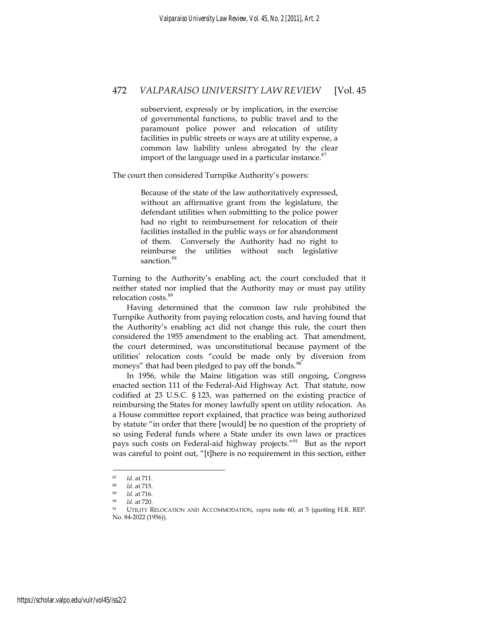subservient, expressly or by implication, in the exercise of governmental functions, to public travel and to the paramount police power and relocation of utility facilities in public streets or ways are at utility expense, a common law liability unless abrogated by the clear import of the language used in a particular instance. $87$ 

The court then considered Turnpike Authority's powers:

Because of the state of the law authoritatively expressed, without an affirmative grant from the legislature, the defendant utilities when submitting to the police power had no right to reimbursement for relocation of their facilities installed in the public ways or for abandonment of them. Conversely the Authority had no right to reimburse the utilities without such legislative sanction.<sup>88</sup>

Turning to the Authority's enabling act, the court concluded that it neither stated nor implied that the Authority may or must pay utility relocation costs.<sup>89</sup>

Having determined that the common law rule prohibited the Turnpike Authority from paying relocation costs, and having found that the Authority's enabling act did not change this rule, the court then considered the 1955 amendment to the enabling act. That amendment, the court determined, was unconstitutional because payment of the utilities' relocation costs "could be made only by diversion from moneys" that had been pledged to pay off the bonds.<sup>90</sup>

In 1956, while the Maine litigation was still ongoing, Congress enacted section 111 of the Federal-Aid Highway Act. That statute, now codified at 23 U.S.C. § 123, was patterned on the existing practice of reimbursing the States for money lawfully spent on utility relocation. As a House committee report explained, that practice was being authorized by statute "in order that there [would] be no question of the propriety of so using Federal funds where a State under its own laws or practices pays such costs on Federal-aid highway projects."<sup>91</sup> But as the report was careful to point out, "[t]here is no requirement in this section, either

<sup>87</sup> *Id.* at 711. 88 *Id.* at 715. 89 *Id.* at 716. 90 *Id*. at 720. 91 UTILITY RELOCATION AND ACCOMMODATION, *supra* note 60, at 5 (quoting H.R. REP. No. 84-2022 (1956)).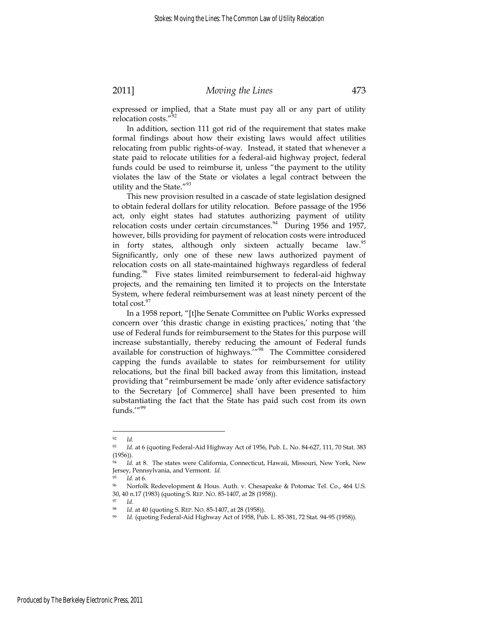expressed or implied, that a State must pay all or any part of utility relocation costs."<sup>92</sup>

In addition, section 111 got rid of the requirement that states make formal findings about how their existing laws would affect utilities relocating from public rights-of-way. Instead, it stated that whenever a state paid to relocate utilities for a federal-aid highway project, federal funds could be used to reimburse it, unless "the payment to the utility violates the law of the State or violates a legal contract between the utility and the State."<sup>93</sup>

This new provision resulted in a cascade of state legislation designed to obtain federal dollars for utility relocation. Before passage of the 1956 act, only eight states had statutes authorizing payment of utility relocation costs under certain circumstances. $94$  During 1956 and 1957, however, bills providing for payment of relocation costs were introduced in forty states, although only sixteen actually became law.<sup>95</sup> Significantly, only one of these new laws authorized payment of relocation costs on all state-maintained highways regardless of federal funding.<sup>96</sup> Five states limited reimbursement to federal-aid highway projects, and the remaining ten limited it to projects on the Interstate System, where federal reimbursement was at least ninety percent of the total cost.<sup>97</sup>

In a 1958 report, "[t]he Senate Committee on Public Works expressed concern over 'this drastic change in existing practices,' noting that 'the use of Federal funds for reimbursement to the States for this purpose will increase substantially, thereby reducing the amount of Federal funds available for construction of highways.'"<sup>98</sup> The Committee considered capping the funds available to states for reimbursement for utility relocations, but the final bill backed away from this limitation, instead providing that "reimbursement be made 'only after evidence satisfactory to the Secretary [of Commerce] shall have been presented to him substantiating the fact that the State has paid such cost from its own funds.'"<sup>99</sup>

<sup>92</sup> *Id.*

<sup>93</sup> *Id.* at 6 (quoting Federal-Aid Highway Act of 1956, Pub. L. No. 84-627, 111, 70 Stat. 383 (1956)).

*Id.* at 8. The states were California, Connecticut, Hawaii, Missouri, New York, New Jersey, Pennsylvania, and Vermont. *Id.*

<sup>&</sup>lt;sup>95</sup> *Id.* at 6.<br><sup>96</sup> Norfolk Redevelopment & Hous. Auth. v. Chesapeake & Potomac Tel. Co., 464 U.S. 30, 40 n.17 (1983) (quoting S. REP. NO. 85-1407, at 28 (1958)). 97 *Id.*

<sup>98</sup> *Id.* at 40 (quoting S. REP. NO. 85-1407, at 28 (1958)). 99 *Id.* (quoting Federal-Aid Highway Act of 1958, Pub. L. 85-381, 72 Stat. 94-95 (1958)).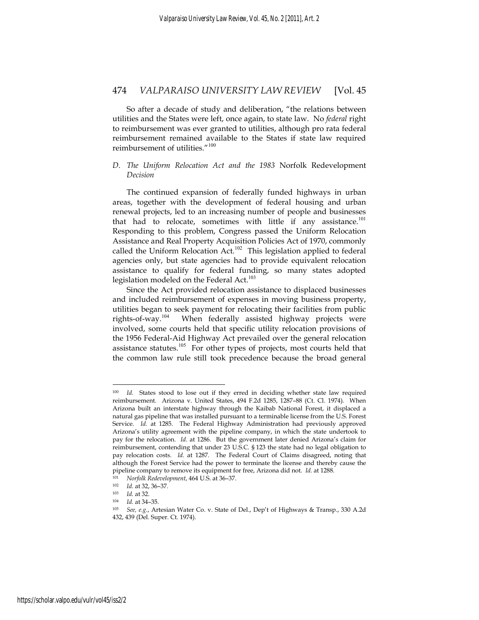So after a decade of study and deliberation, "the relations between utilities and the States were left, once again, to state law. No *federal* right to reimbursement was ever granted to utilities, although pro rata federal reimbursement remained available to the States if state law required reimbursement of utilities."<sup>100</sup>

#### *D. The Uniform Relocation Act and the 1983* Norfolk Redevelopment *Decision*

The continued expansion of federally funded highways in urban areas, together with the development of federal housing and urban renewal projects, led to an increasing number of people and businesses that had to relocate, sometimes with little if any assistance.<sup>101</sup> Responding to this problem, Congress passed the Uniform Relocation Assistance and Real Property Acquisition Policies Act of 1970, commonly called the Uniform Relocation Act.<sup>102</sup> This legislation applied to federal agencies only, but state agencies had to provide equivalent relocation assistance to qualify for federal funding, so many states adopted legislation modeled on the Federal Act.<sup>103</sup>

Since the Act provided relocation assistance to displaced businesses and included reimbursement of expenses in moving business property, utilities began to seek payment for relocating their facilities from public rights-of-way.<sup>104</sup> When federally assisted highway projects were When federally assisted highway projects were involved, some courts held that specific utility relocation provisions of the 1956 Federal-Aid Highway Act prevailed over the general relocation assistance statutes.<sup>105</sup> For other types of projects, most courts held that the common law rule still took precedence because the broad general

Id. States stood to lose out if they erred in deciding whether state law required reimbursement. Arizona v. United States, 494 F.2d 1285, 1287–88 (Ct. Cl. 1974). When Arizona built an interstate highway through the Kaibab National Forest, it displaced a natural gas pipeline that was installed pursuant to a terminable license from the U.S. Forest Service. *Id.* at 1285. The Federal Highway Administration had previously approved Arizona's utility agreement with the pipeline company, in which the state undertook to pay for the relocation. *Id.* at 1286. But the government later denied Arizona's claim for reimbursement, contending that under 23 U.S.C. § 123 the state had no legal obligation to pay relocation costs. *Id.* at 1287. The Federal Court of Claims disagreed, noting that although the Forest Service had the power to terminate the license and thereby cause the pipeline company to remove its equipment for free, Arizona did not. *Id.* at 1288.<br><sup>101</sup> Norfolk Redevelopment, 464 U.S. at 36–37.<br><sup>102</sup> *Id.* at 32, 36–37.<br><sup>103</sup> *Id.* at 32.<br><sup>104</sup> *Id.* at 34–35.<br><sup>105</sup> *See, e.g.,* Artes

<sup>432, 439 (</sup>Del. Super. Ct. 1974).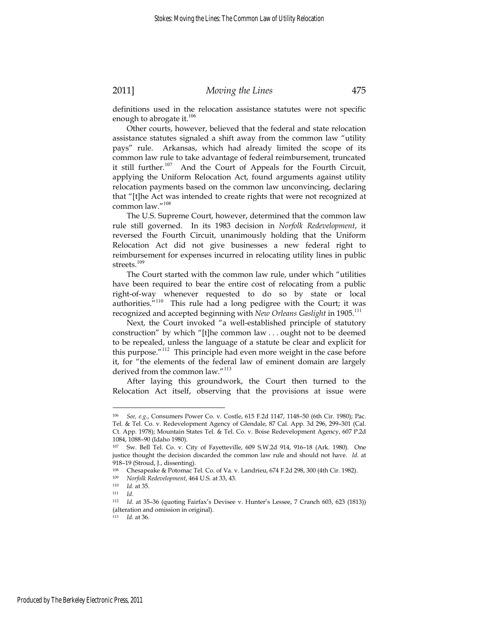definitions used in the relocation assistance statutes were not specific enough to abrogate it. $106$ 

Other courts, however, believed that the federal and state relocation assistance statutes signaled a shift away from the common law "utility pays" rule. Arkansas, which had already limited the scope of its common law rule to take advantage of federal reimbursement, truncated it still further.<sup>107</sup> And the Court of Appeals for the Fourth Circuit, applying the Uniform Relocation Act, found arguments against utility relocation payments based on the common law unconvincing, declaring that "[t]he Act was intended to create rights that were not recognized at common law."<sup>108</sup>

The U.S. Supreme Court, however, determined that the common law rule still governed. In its 1983 decision in *Norfolk Redevelopment*, it reversed the Fourth Circuit, unanimously holding that the Uniform Relocation Act did not give businesses a new federal right to reimbursement for expenses incurred in relocating utility lines in public streets.<sup>109</sup>

The Court started with the common law rule, under which "utilities have been required to bear the entire cost of relocating from a public right-of-way whenever requested to do so by state or local authorities."<sup>110</sup> This rule had a long pedigree with the Court; it was recognized and accepted beginning with *New Orleans Gaslight* in 1905.<sup>111</sup>

Next, the Court invoked "a well-established principle of statutory construction" by which "[t]he common law . . . ought not to be deemed to be repealed, unless the language of a statute be clear and explicit for this purpose."<sup>112</sup> This principle had even more weight in the case before it, for "the elements of the federal law of eminent domain are largely derived from the common law."<sup>113</sup>

After laying this groundwork, the Court then turned to the Relocation Act itself, observing that the provisions at issue were

<sup>106</sup> *See, e.g.*, Consumers Power Co. v. Costle, 615 F.2d 1147, 1148–50 (6th Cir. 1980); Pac. Tel. & Tel. Co. v. Redevelopment Agency of Glendale, 87 Cal. App. 3d 296, 299–301 (Cal. Ct. App. 1978); Mountain States Tel. & Tel. Co. v. Boise Redevelopment Agency, 607 P.2d 1084, 1088–90 (Idaho 1980).

<sup>107</sup> Sw. Bell Tel. Co. v. City of Fayetteville, 609 S.W.2d 914, 916–18 (Ark. 1980). One justice thought the decision discarded the common law rule and should not have. *Id.* at 918–19 (Stroud, J., dissenting).

<sup>108</sup> Chesapeake & Potomac Tel. Co. of Va. v. Landrieu, 674 F.2d 298, 300 (4th Cir. 1982).

<sup>109</sup> *Norfolk Redevelopment*, 464 U.S. at 33, 43. 110 *Id.* at 35. 111 *Id.*

<sup>112</sup> *Id.* at 35–36 (quoting Fairfax's Devisee v. Hunter's Lessee, 7 Cranch 603, 623 (1813)) (alteration and omission in original).

<sup>113</sup> *Id.* at 36.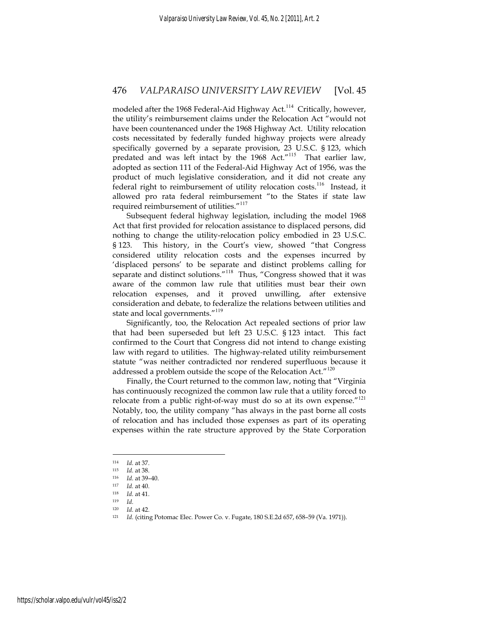modeled after the 1968 Federal-Aid Highway Act.<sup>114</sup> Critically, however, the utility's reimbursement claims under the Relocation Act "would not have been countenanced under the 1968 Highway Act. Utility relocation costs necessitated by federally funded highway projects were already specifically governed by a separate provision, 23 U.S.C. § 123, which predated and was left intact by the 1968 Act."<sup>115</sup> That earlier law, adopted as section 111 of the Federal-Aid Highway Act of 1956, was the product of much legislative consideration, and it did not create any federal right to reimbursement of utility relocation costs.<sup>116</sup> Instead, it allowed pro rata federal reimbursement "to the States if state law required reimbursement of utilities."<sup>117</sup>

Subsequent federal highway legislation, including the model 1968 Act that first provided for relocation assistance to displaced persons, did nothing to change the utility-relocation policy embodied in 23 U.S.C. § 123. This history, in the Court's view, showed "that Congress considered utility relocation costs and the expenses incurred by 'displaced persons' to be separate and distinct problems calling for separate and distinct solutions."<sup>118</sup> Thus, "Congress showed that it was aware of the common law rule that utilities must bear their own relocation expenses, and it proved unwilling, after extensive consideration and debate, to federalize the relations between utilities and state and local governments."<sup>119</sup>

Significantly, too, the Relocation Act repealed sections of prior law that had been superseded but left 23 U.S.C. § 123 intact. This fact confirmed to the Court that Congress did not intend to change existing law with regard to utilities. The highway-related utility reimbursement statute "was neither contradicted nor rendered superfluous because it addressed a problem outside the scope of the Relocation Act."<sup>120</sup>

Finally, the Court returned to the common law, noting that "Virginia has continuously recognized the common law rule that a utility forced to relocate from a public right-of-way must do so at its own expense." $121$ Notably, too, the utility company "has always in the past borne all costs of relocation and has included those expenses as part of its operating expenses within the rate structure approved by the State Corporation

<sup>114</sup> *Id.* at 37. 115 *Id.* at 38. 116 *Id.* at 39–40. 117 *Id.* at 40. 118 *Id.* at 41. 119 *Id.*

<sup>120</sup> *Id.* at 42.<br><sup>121</sup> *Id.* (citing Potomac Elec. Power Co. v. Fugate, 180 S.E.2d 657, 658–59 (Va. 1971)).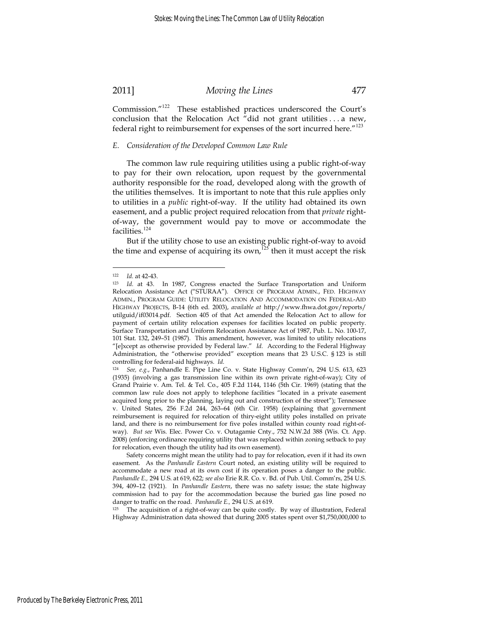Commission."<sup>122</sup> These established practices underscored the Court's conclusion that the Relocation Act "did not grant utilities . . . a new, federal right to reimbursement for expenses of the sort incurred here."<sup>123</sup>

#### *E. Consideration of the Developed Common Law Rule*

The common law rule requiring utilities using a public right-of-way to pay for their own relocation, upon request by the governmental authority responsible for the road, developed along with the growth of the utilities themselves. It is important to note that this rule applies only to utilities in a *public* right-of-way. If the utility had obtained its own easement, and a public project required relocation from that *private* rightof-way, the government would pay to move or accommodate the facilities.<sup>124</sup>

But if the utility chose to use an existing public right-of-way to avoid the time and expense of acquiring its own,<sup>125</sup> then it must accept the risk

<sup>122</sup> *Id.* at 42-43.<br><sup>123</sup> *Id.* at 43. In 1987, Congress enacted the Surface Transportation and Uniform Relocation Assistance Act ("STURAA"). OFFICE OF PROGRAM ADMIN., FED. HIGHWAY ADMIN., PROGRAM GUIDE: UTILITY RELOCATION AND ACCOMMODATION ON FEDERAL-AID HIGHWAY PROJECTS, B-14 (6th ed. 2003), *available at* http://www.fhwa.dot.gov/reports/ utilguid/if03014.pdf. Section 405 of that Act amended the Relocation Act to allow for payment of certain utility relocation expenses for facilities located on public property. Surface Transportation and Uniform Relocation Assistance Act of 1987, Pub. L. No. 100-17, 101 Stat. 132, 249–51 (1987). This amendment, however, was limited to utility relocations "[e]xcept as otherwise provided by Federal law." *Id.* According to the Federal Highway Administration, the "otherwise provided" exception means that 23 U.S.C. § 123 is still controlling for federal-aid highways. *Id.*

<sup>124</sup> *See, e.g.*, Panhandle E. Pipe Line Co. v. State Highway Comm'n, 294 U.S. 613, 623 (1935) (involving a gas transmission line within its own private right-of-way); City of Grand Prairie v. Am. Tel. & Tel. Co., 405 F.2d 1144, 1146 (5th Cir. 1969) (stating that the common law rule does not apply to telephone facilities "located in a private easement acquired long prior to the planning, laying out and construction of the street"); Tennessee v. United States, 256 F.2d 244, 263–64 (6th Cir. 1958) (explaining that government reimbursement is required for relocation of thiry-eight utility poles installed on private land, and there is no reimbursement for five poles installed within county road right-ofway). *But see* Wis. Elec. Power Co. v. Outagamie Cnty., 752 N.W.2d 388 (Wis. Ct. App. 2008) (enforcing ordinance requiring utility that was replaced within zoning setback to pay for relocation, even though the utility had its own easement).

Safety concerns might mean the utility had to pay for relocation, even if it had its own easement. As the *Panhandle Eastern* Court noted, an existing utility will be required to accommodate a new road at its own cost if its operation poses a danger to the public. *Panhandle E.,* 294 U.S. at 619, 622; *see also* Erie R.R. Co. v. Bd. of Pub. Util. Comm'rs, 254 U.S. 394, 409–12 (1921). In *Panhandle Eastern*, there was no safety issue; the state highway commission had to pay for the accommodation because the buried gas line posed no danger to traffic on the road. *Panhandle E.*, 294 U.S. at 619.<br><sup>125</sup> The acquisition of a right-of-way can be quite costly. By way of illustration, Federal

Highway Administration data showed that during 2005 states spent over \$1,750,000,000 to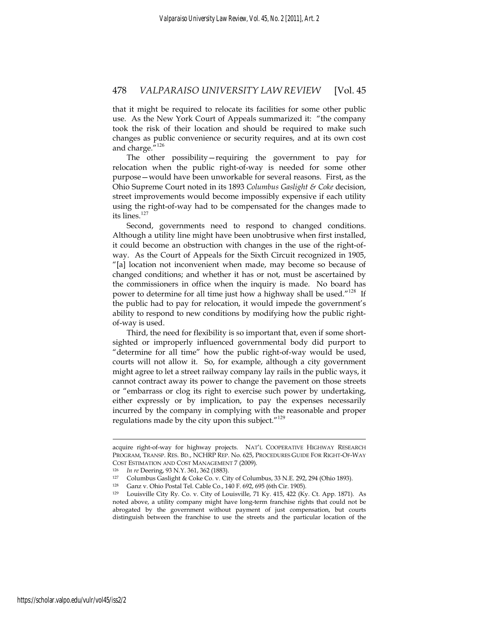that it might be required to relocate its facilities for some other public use. As the New York Court of Appeals summarized it: "the company took the risk of their location and should be required to make such changes as public convenience or security requires, and at its own cost and charge."<sup>126</sup>

The other possibility—requiring the government to pay for relocation when the public right-of-way is needed for some other purpose—would have been unworkable for several reasons. First, as the Ohio Supreme Court noted in its 1893 *Columbus Gaslight & Coke* decision, street improvements would become impossibly expensive if each utility using the right-of-way had to be compensated for the changes made to its lines.<sup>127</sup>

Second, governments need to respond to changed conditions. Although a utility line might have been unobtrusive when first installed, it could become an obstruction with changes in the use of the right-ofway. As the Court of Appeals for the Sixth Circuit recognized in 1905, "[a] location not inconvenient when made, may become so because of changed conditions; and whether it has or not, must be ascertained by the commissioners in office when the inquiry is made. No board has power to determine for all time just how a highway shall be used."<sup>128</sup> If the public had to pay for relocation, it would impede the government's ability to respond to new conditions by modifying how the public rightof-way is used.

Third, the need for flexibility is so important that, even if some shortsighted or improperly influenced governmental body did purport to "determine for all time" how the public right-of-way would be used, courts will not allow it. So, for example, although a city government might agree to let a street railway company lay rails in the public ways, it cannot contract away its power to change the pavement on those streets or "embarrass or clog its right to exercise such power by undertaking, either expressly or by implication, to pay the expenses necessarily incurred by the company in complying with the reasonable and proper regulations made by the city upon this subject. $129$ 

acquire right-of-way for highway projects. NAT'L COOPERATIVE HIGHWAY RESEARCH PROGRAM, TRANSP. RES. BD., NCHRP REP. No. 625, PROCEDURES GUIDE FOR RIGHT-OF-WAY COST ESTIMATION AND COST MANAGEMENT 7 (2009).<br>
<sup>126</sup> *In re* Deering, 93 N.Y. 361, 362 (1883).<br>
<sup>127</sup> Columbus Gaslight & Coke Co. v. City of Columbus, 33 N.E. 292, 294 (Ohio 1893).<br>
<sup>128</sup> Ganz y. Ohio Postal Tel. Cable Co

<sup>128</sup> Ganz v. Ohio Postal Tel. Cable Co., 140 F. 692, 695 (6th Cir. 1905).

<sup>129</sup> Louisville City Ry. Co. v. City of Louisville, 71 Ky. 415, 422 (Ky. Ct. App. 1871). As noted above, a utility company might have long-term franchise rights that could not be abrogated by the government without payment of just compensation, but courts distinguish between the franchise to use the streets and the particular location of the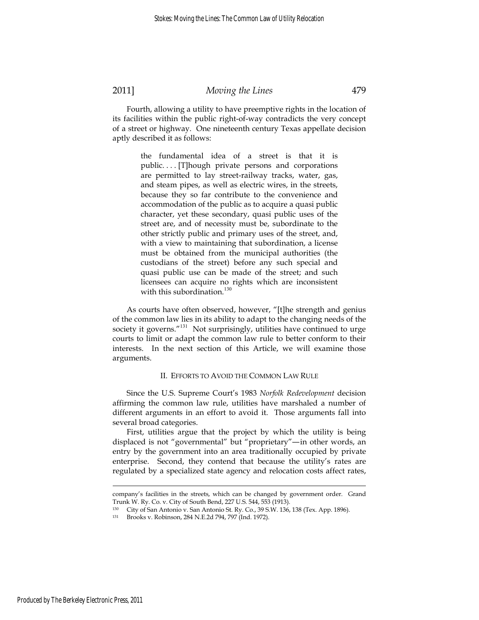Fourth, allowing a utility to have preemptive rights in the location of its facilities within the public right-of-way contradicts the very concept of a street or highway. One nineteenth century Texas appellate decision aptly described it as follows:

> the fundamental idea of a street is that it is public. . . . [T]hough private persons and corporations are permitted to lay street-railway tracks, water, gas, and steam pipes, as well as electric wires, in the streets, because they so far contribute to the convenience and accommodation of the public as to acquire a quasi public character, yet these secondary, quasi public uses of the street are, and of necessity must be, subordinate to the other strictly public and primary uses of the street, and, with a view to maintaining that subordination, a license must be obtained from the municipal authorities (the custodians of the street) before any such special and quasi public use can be made of the street; and such licensees can acquire no rights which are inconsistent with this subordination.<sup>130</sup>

As courts have often observed, however, "[t]he strength and genius of the common law lies in its ability to adapt to the changing needs of the society it governs."<sup>131</sup> Not surprisingly, utilities have continued to urge courts to limit or adapt the common law rule to better conform to their interests. In the next section of this Article, we will examine those arguments.

#### II. EFFORTS TO AVOID THE COMMON LAW RULE

Since the U.S. Supreme Court's 1983 *Norfolk Redevelopment* decision affirming the common law rule, utilities have marshaled a number of different arguments in an effort to avoid it. Those arguments fall into several broad categories.

First, utilities argue that the project by which the utility is being displaced is not "governmental" but "proprietary"—in other words, an entry by the government into an area traditionally occupied by private enterprise. Second, they contend that because the utility's rates are regulated by a specialized state agency and relocation costs affect rates,

company's facilities in the streets, which can be changed by government order. Grand Trunk W. Ry. Co. v. City of South Bend, 227 U.S. 544, 553 (1913).

<sup>130</sup> City of San Antonio v. San Antonio St. Ry. Co., 39 S.W. 136, 138 (Tex. App. 1896).

Brooks v. Robinson, 284 N.E.2d 794, 797 (Ind. 1972).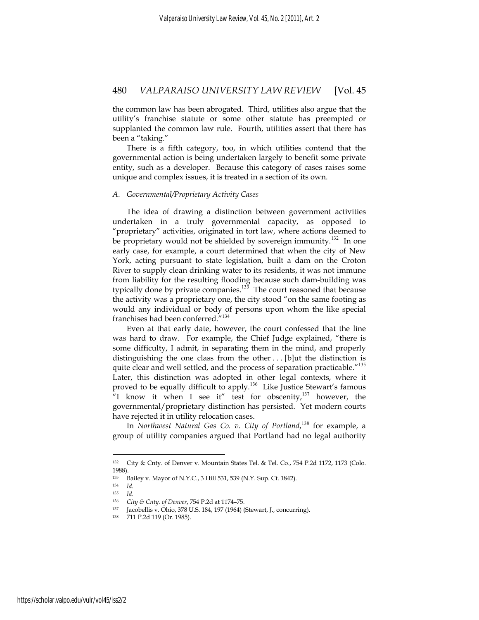the common law has been abrogated. Third, utilities also argue that the utility's franchise statute or some other statute has preempted or supplanted the common law rule. Fourth, utilities assert that there has been a "taking."

There is a fifth category, too, in which utilities contend that the governmental action is being undertaken largely to benefit some private entity, such as a developer. Because this category of cases raises some unique and complex issues, it is treated in a section of its own.

#### *A. Governmental/Proprietary Activity Cases*

The idea of drawing a distinction between government activities undertaken in a truly governmental capacity, as opposed to "proprietary" activities, originated in tort law, where actions deemed to be proprietary would not be shielded by sovereign immunity.<sup>132</sup> In one early case, for example, a court determined that when the city of New York, acting pursuant to state legislation, built a dam on the Croton River to supply clean drinking water to its residents, it was not immune from liability for the resulting flooding because such dam-building was typically done by private companies.<sup>133</sup> The court reasoned that because the activity was a proprietary one, the city stood "on the same footing as would any individual or body of persons upon whom the like special franchises had been conferred."<sup>134</sup>

Even at that early date, however, the court confessed that the line was hard to draw. For example, the Chief Judge explained, "there is some difficulty, I admit, in separating them in the mind, and properly distinguishing the one class from the other . . . [b]ut the distinction is quite clear and well settled, and the process of separation practicable."<sup>135</sup> Later, this distinction was adopted in other legal contexts, where it proved to be equally difficult to apply.<sup>136</sup> Like Justice Stewart's famous "I know it when I see it" test for obscenity, $137$  however, the governmental/proprietary distinction has persisted. Yet modern courts have rejected it in utility relocation cases.

In *Northwest Natural Gas Co. v. City of Portland*, <sup>138</sup> for example, a group of utility companies argued that Portland had no legal authority

<sup>132</sup> City & Cnty. of Denver v. Mountain States Tel. & Tel. Co., 754 P.2d 1172, 1173 (Colo. 1988).

<sup>133</sup> Bailey v. Mayor of N.Y.C., 3 Hill 531, 539 (N.Y. Sup. Ct. 1842).

<sup>134</sup> *Id.*

<sup>135</sup> *Id.* 

<sup>&</sup>lt;sup>136</sup> *City & Cnty. of Denver*, 754 P.2d at 1174–75.<br>
<sup>137</sup> Jacobellis v. Ohio, 378 U.S. 184, 197 (1964) (Stewart, J., concurring).<br>
<sup>138</sup> 711 P.2d 119 (Or. 1985).

<sup>711</sup> P.2d 119 (Or. 1985).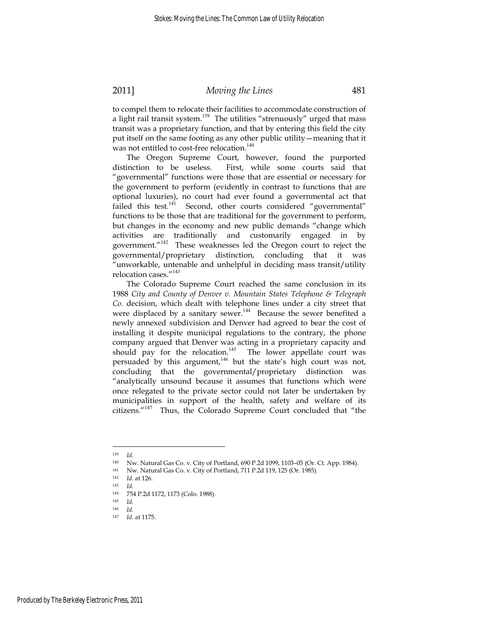to compel them to relocate their facilities to accommodate construction of a light rail transit system.<sup>139</sup> The utilities "strenuously" urged that mass transit was a proprietary function, and that by entering this field the city put itself on the same footing as any other public utility—meaning that it was not entitled to cost-free relocation.<sup>140</sup>

The Oregon Supreme Court, however, found the purported distinction to be useless. First, while some courts said that "governmental" functions were those that are essential or necessary for the government to perform (evidently in contrast to functions that are optional luxuries), no court had ever found a governmental act that failed this test.<sup>141</sup> Second, other courts considered "governmental" functions to be those that are traditional for the government to perform, but changes in the economy and new public demands "change which activities are traditionally and customarily engaged in by government."<sup>142</sup> These weaknesses led the Oregon court to reject the governmental/proprietary distinction, concluding that it was "unworkable, untenable and unhelpful in deciding mass transit/utility relocation cases."<sup>143</sup>

The Colorado Supreme Court reached the same conclusion in its 1988 *City and County of Denver v. Mountain States Telephone & Telegraph Co.* decision, which dealt with telephone lines under a city street that were displaced by a sanitary sewer.<sup>144</sup> Because the sewer benefited a newly annexed subdivision and Denver had agreed to bear the cost of installing it despite municipal regulations to the contrary, the phone company argued that Denver was acting in a proprietary capacity and should pay for the relocation.<sup>145</sup> The lower appellate court was persuaded by this argument, $146$  but the state's high court was not, concluding that the governmental/proprietary distinction was "analytically unsound because it assumes that functions which were once relegated to the private sector could not later be undertaken by municipalities in support of the health, safety and welfare of its citizens."<sup>147</sup> Thus, the Colorado Supreme Court concluded that "the

<sup>139</sup> *Id.*

<sup>140</sup> Nw. Natural Gas Co. v. City of Portland, 690 P.2d 1099, 1103–05 (Or. Ct. App. 1984).

<sup>141</sup> Nw. Natural Gas Co. v. City of Portland, 711 P.2d 119, 125 (Or. 1985).

<sup>142</sup> *Id.* at 126. 143 *Id.*

<sup>144 754</sup> P.2d 1172, 1173 (Colo. 1988).

<sup>145</sup> *Id.*

 $146$  *Id.*<br> $147$  *Id* 

*Id.* at 1175.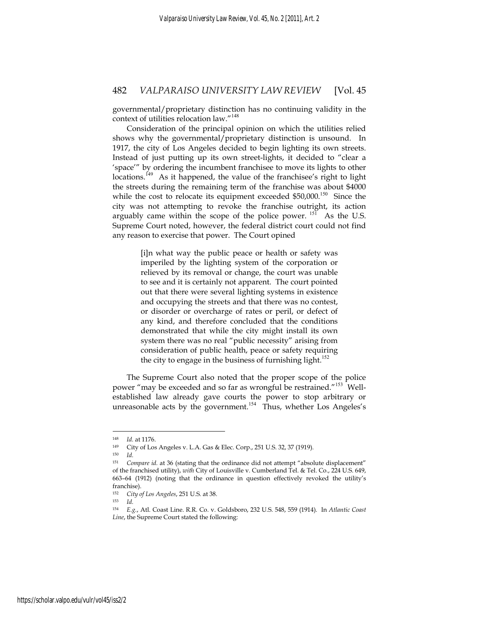governmental/proprietary distinction has no continuing validity in the context of utilities relocation law."<sup>148</sup>

Consideration of the principal opinion on which the utilities relied shows why the governmental/proprietary distinction is unsound. In 1917, the city of Los Angeles decided to begin lighting its own streets. Instead of just putting up its own street-lights, it decided to "clear a 'space'" by ordering the incumbent franchisee to move its lights to other locations.<sup>149</sup> As it happened, the value of the franchisee's right to light the streets during the remaining term of the franchise was about \$4000 while the cost to relocate its equipment exceeded  $$50,000$ .<sup>150</sup> Since the city was not attempting to revoke the franchise outright, its action arguably came within the scope of the police power.<sup>151</sup> As the U.S. Supreme Court noted, however, the federal district court could not find any reason to exercise that power. The Court opined

> [i]n what way the public peace or health or safety was imperiled by the lighting system of the corporation or relieved by its removal or change, the court was unable to see and it is certainly not apparent. The court pointed out that there were several lighting systems in existence and occupying the streets and that there was no contest, or disorder or overcharge of rates or peril, or defect of any kind, and therefore concluded that the conditions demonstrated that while the city might install its own system there was no real "public necessity" arising from consideration of public health, peace or safety requiring the city to engage in the business of furnishing light. $152$

The Supreme Court also noted that the proper scope of the police power "may be exceeded and so far as wrongful be restrained."<sup>153</sup> Wellestablished law already gave courts the power to stop arbitrary or unreasonable acts by the government.<sup>154</sup> Thus, whether Los Angeles's

<sup>148</sup> *Id.* at 1176. 149 City of Los Angeles v. L.A. Gas & Elec. Corp., 251 U.S. 32, 37 (1919).

<sup>150</sup> *Id.*

<sup>151</sup> *Compare id.* at 36 (stating that the ordinance did not attempt "absolute displacement" of the franchised utility), *with* City of Louisville v. Cumberland Tel. & Tel. Co., 224 U.S. 649, 663–64 (1912) (noting that the ordinance in question effectively revoked the utility's franchise).

<sup>152</sup> *City of Los Angeles*, 251 U.S*.* at 38. 153 *Id.*

<sup>154</sup> *E.g.*, Atl. Coast Line. R.R. Co. v. Goldsboro, 232 U.S. 548, 559 (1914). In *Atlantic Coast Line*, the Supreme Court stated the following: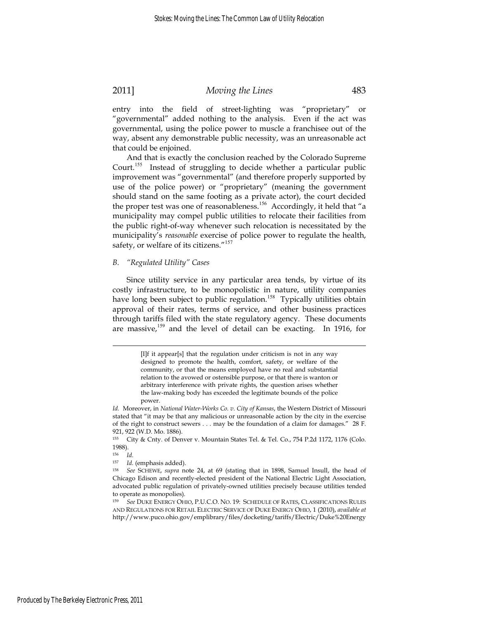entry into the field of street-lighting was "proprietary" or "governmental" added nothing to the analysis. Even if the act was governmental, using the police power to muscle a franchisee out of the way, absent any demonstrable public necessity, was an unreasonable act that could be enjoined.

And that is exactly the conclusion reached by the Colorado Supreme Court.<sup>155</sup> Instead of struggling to decide whether a particular public improvement was "governmental" (and therefore properly supported by use of the police power) or "proprietary" (meaning the government should stand on the same footing as a private actor), the court decided the proper test was one of reasonableness.<sup>156</sup> Accordingly, it held that "a municipality may compel public utilities to relocate their facilities from the public right-of-way whenever such relocation is necessitated by the municipality's *reasonable* exercise of police power to regulate the health, safety, or welfare of its citizens."<sup>157</sup>

#### *B. "Regulated Utility" Cases*

Since utility service in any particular area tends, by virtue of its costly infrastructure, to be monopolistic in nature, utility companies have long been subject to public regulation.<sup>158</sup> Typically utilities obtain approval of their rates, terms of service, and other business practices through tariffs filed with the state regulatory agency. These documents are massive,<sup>159</sup> and the level of detail can be exacting. In 1916, for

<sup>[</sup>I]f it appear[s] that the regulation under criticism is not in any way designed to promote the health, comfort, safety, or welfare of the community, or that the means employed have no real and substantial relation to the avowed or ostensible purpose, or that there is wanton or arbitrary interference with private rights, the question arises whether the law-making body has exceeded the legitimate bounds of the police power.

*Id.* Moreover, in *National Water-Works Co. v. City of Kansas*, the Western District of Missouri stated that "it may be that any malicious or unreasonable action by the city in the exercise of the right to construct sewers . . . may be the foundation of a claim for damages." 28 F. 921, 922 (W.D. Mo. 1886).

<sup>155</sup> City & Cnty. of Denver v. Mountain States Tel. & Tel. Co., 754 P.2d 1172, 1176 (Colo. 1988).

<sup>156</sup> *Id.*

<sup>157</sup> *Id.* (emphasis added). 158 *See* SCHEWE, *supra* note 24, at 69 (stating that in 1898, Samuel Insull, the head of Chicago Edison and recently-elected president of the National Electric Light Association, advocated public regulation of privately-owned utilities precisely because utilities tended to operate as monopolies).

<sup>159</sup> *See* DUKE ENERGY OHIO, P.U.C.O. NO. 19: SCHEDULE OF RATES, CLASSIFICATIONS RULES AND REGULATIONS FOR RETAIL ELECTRIC SERVICE OF DUKE ENERGY OHIO, 1 (2010), *available at* http://www.puco.ohio.gov/emplibrary/files/docketing/tariffs/Electric/Duke%20Energy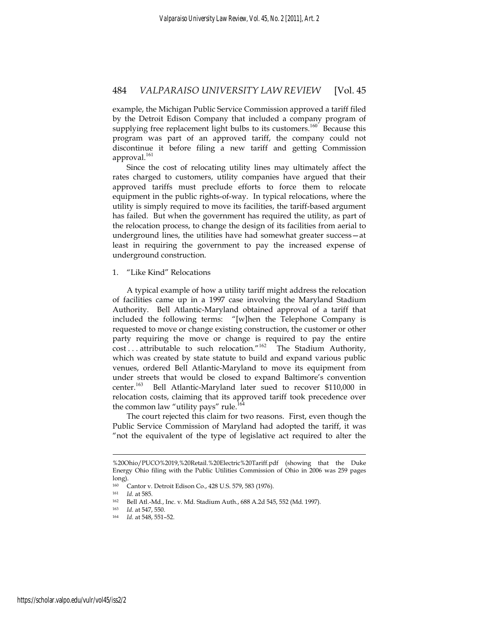example, the Michigan Public Service Commission approved a tariff filed by the Detroit Edison Company that included a company program of supplying free replacement light bulbs to its customers.<sup>160</sup> Because this program was part of an approved tariff, the company could not discontinue it before filing a new tariff and getting Commission approval.<sup>161</sup>

Since the cost of relocating utility lines may ultimately affect the rates charged to customers, utility companies have argued that their approved tariffs must preclude efforts to force them to relocate equipment in the public rights-of-way. In typical relocations, where the utility is simply required to move its facilities, the tariff-based argument has failed. But when the government has required the utility, as part of the relocation process, to change the design of its facilities from aerial to underground lines, the utilities have had somewhat greater success—at least in requiring the government to pay the increased expense of underground construction.

#### 1. "Like Kind" Relocations

A typical example of how a utility tariff might address the relocation of facilities came up in a 1997 case involving the Maryland Stadium Authority. Bell Atlantic-Maryland obtained approval of a tariff that included the following terms: "[w]hen the Telephone Company is requested to move or change existing construction, the customer or other party requiring the move or change is required to pay the entire  $cost \dots$  attributable to such relocation."<sup>162</sup> The Stadium Authority, which was created by state statute to build and expand various public venues, ordered Bell Atlantic-Maryland to move its equipment from under streets that would be closed to expand Baltimore's convention center.<sup>163</sup> Bell Atlantic-Maryland later sued to recover \$110,000 in relocation costs, claiming that its approved tariff took precedence over the common law "utility pays" rule.<sup>164</sup>

The court rejected this claim for two reasons. First, even though the Public Service Commission of Maryland had adopted the tariff, it was "not the equivalent of the type of legislative act required to alter the

<sup>%20</sup>Ohio/PUCO%2019,%20Retail.%20Electric%20Tariff.pdf (showing that the Duke Energy Ohio filing with the Public Utilities Commission of Ohio in 2006 was 259 pages  $\log$ ).

Cantor v. Detroit Edison Co., 428 U.S. 579, 583 (1976).

<sup>161</sup> *Id.* at 585. 162 Bell Atl.-Md., Inc. v. Md. Stadium Auth., 688 A.2d 545, 552 (Md. 1997).

<sup>163</sup> *Id.* at 547, 550. 164 *Id.* at 548, 551–52.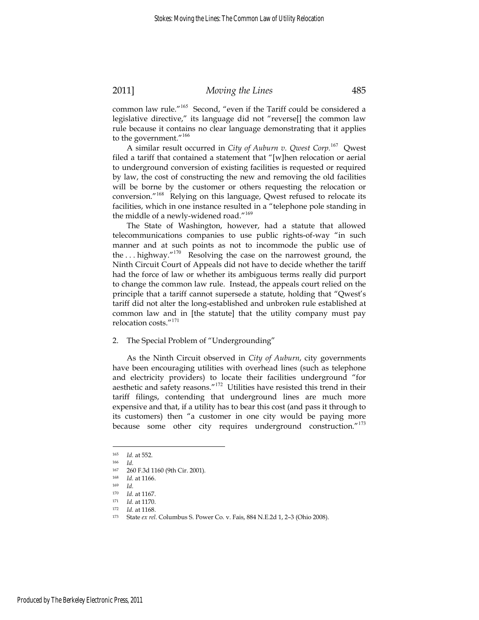common law rule."<sup>165</sup> Second, "even if the Tariff could be considered a legislative directive," its language did not "reverse[] the common law rule because it contains no clear language demonstrating that it applies to the government."<sup>166</sup>

A similar result occurred in *City of Auburn v. Qwest Corp.*<sup>167</sup> Qwest filed a tariff that contained a statement that "[w]hen relocation or aerial to underground conversion of existing facilities is requested or required by law, the cost of constructing the new and removing the old facilities will be borne by the customer or others requesting the relocation or conversion."<sup>168</sup> Relying on this language, Qwest refused to relocate its facilities, which in one instance resulted in a "telephone pole standing in the middle of a newly-widened road."<sup>169</sup>

The State of Washington, however, had a statute that allowed telecommunications companies to use public rights-of-way "in such manner and at such points as not to incommode the public use of the ... highway." $170$  Resolving the case on the narrowest ground, the Ninth Circuit Court of Appeals did not have to decide whether the tariff had the force of law or whether its ambiguous terms really did purport to change the common law rule. Instead, the appeals court relied on the principle that a tariff cannot supersede a statute, holding that "Qwest's tariff did not alter the long-established and unbroken rule established at common law and in [the statute] that the utility company must pay relocation costs."<sup>171</sup>

2. The Special Problem of "Undergrounding"

As the Ninth Circuit observed in *City of Auburn*, city governments have been encouraging utilities with overhead lines (such as telephone and electricity providers) to locate their facilities underground "for aesthetic and safety reasons."<sup>172</sup> Utilities have resisted this trend in their tariff filings, contending that underground lines are much more expensive and that, if a utility has to bear this cost (and pass it through to its customers) then "a customer in one city would be paying more because some other city requires underground construction."<sup>173</sup>

<sup>165</sup> *Id.* at 552. 166 *Id.*

<sup>260</sup> F.3d 1160 (9th Cir. 2001).

<sup>168</sup> *Id.* at 1166. 169 *Id.*

<sup>170</sup> *Id.* at 1167. 171 *Id.* at 1170. 172 *Id.* at 1168. 173 State *ex rel*. Columbus S. Power Co. v. Fais, 884 N.E.2d 1, 2–3 (Ohio 2008).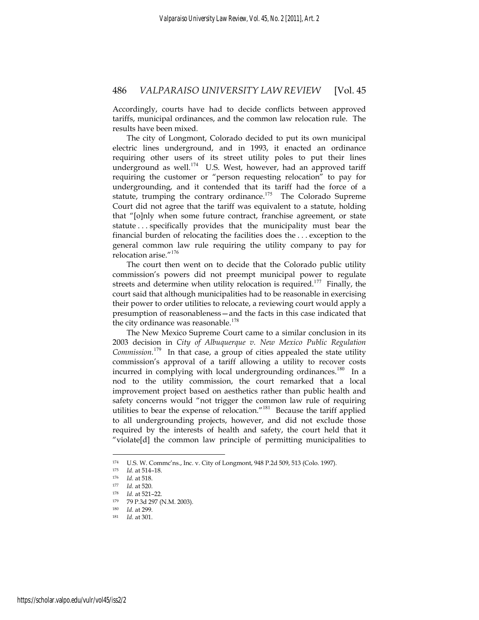Accordingly, courts have had to decide conflicts between approved tariffs, municipal ordinances, and the common law relocation rule. The results have been mixed.

The city of Longmont, Colorado decided to put its own municipal electric lines underground, and in 1993, it enacted an ordinance requiring other users of its street utility poles to put their lines underground as well.<sup>174</sup> U.S. West, however, had an approved tariff requiring the customer or "person requesting relocation" to pay for undergrounding, and it contended that its tariff had the force of a statute, trumping the contrary ordinance.<sup>175</sup> The Colorado Supreme Court did not agree that the tariff was equivalent to a statute, holding that "[o]nly when some future contract, franchise agreement, or state statute . . . specifically provides that the municipality must bear the financial burden of relocating the facilities does the . . . exception to the general common law rule requiring the utility company to pay for relocation arise."<sup>176</sup>

The court then went on to decide that the Colorado public utility commission's powers did not preempt municipal power to regulate streets and determine when utility relocation is required.<sup>177</sup> Finally, the court said that although municipalities had to be reasonable in exercising their power to order utilities to relocate, a reviewing court would apply a presumption of reasonableness—and the facts in this case indicated that the city ordinance was reasonable.<sup>178</sup>

The New Mexico Supreme Court came to a similar conclusion in its 2003 decision in *City of Albuquerque v. New Mexico Public Regulation Commission.*<sup>179</sup> In that case, a group of cities appealed the state utility commission's approval of a tariff allowing a utility to recover costs incurred in complying with local undergrounding ordinances.<sup>180</sup> In a nod to the utility commission, the court remarked that a local improvement project based on aesthetics rather than public health and safety concerns would "not trigger the common law rule of requiring utilities to bear the expense of relocation."<sup>181</sup> Because the tariff applied to all undergrounding projects, however, and did not exclude those required by the interests of health and safety, the court held that it "violate[d] the common law principle of permitting municipalities to

<sup>174</sup> U.S. W. Commc'ns., Inc. v. City of Longmont, 948 P.2d 509, 513 (Colo. 1997).

<sup>175</sup> *Id.* at 514–18.<br>
176 *Id.* at 518.<br>
177 *Id.* at 520.<br>
179 79 P.3d 297 (N.M. 2003).<br>
180 *Id.* at 299.

<sup>180</sup> *Id.* at 299. 181 *Id.* at 301.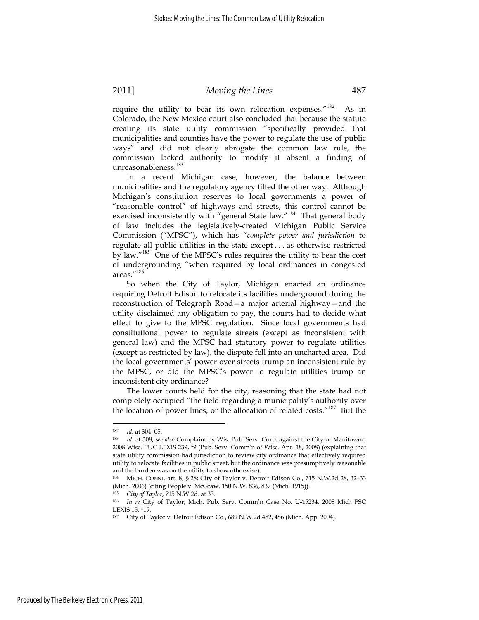require the utility to bear its own relocation expenses."<sup>182</sup> As in Colorado, the New Mexico court also concluded that because the statute creating its state utility commission "specifically provided that municipalities and counties have the power to regulate the use of public ways" and did not clearly abrogate the common law rule, the commission lacked authority to modify it absent a finding of unreasonableness.<sup>183</sup>

In a recent Michigan case, however, the balance between municipalities and the regulatory agency tilted the other way. Although Michigan's constitution reserves to local governments a power of "reasonable control" of highways and streets, this control cannot be exercised inconsistently with "general State law."<sup>184</sup> That general body of law includes the legislatively-created Michigan Public Service Commission ("MPSC"), which has "*complete power and jurisdiction* to regulate all public utilities in the state except . . . as otherwise restricted by law."<sup>185</sup> One of the MPSC's rules requires the utility to bear the cost of undergrounding "when required by local ordinances in congested areas."<sup>186</sup>

So when the City of Taylor, Michigan enacted an ordinance requiring Detroit Edison to relocate its facilities underground during the reconstruction of Telegraph Road—a major arterial highway—and the utility disclaimed any obligation to pay, the courts had to decide what effect to give to the MPSC regulation. Since local governments had constitutional power to regulate streets (except as inconsistent with general law) and the MPSC had statutory power to regulate utilities (except as restricted by law), the dispute fell into an uncharted area. Did the local governments' power over streets trump an inconsistent rule by the MPSC, or did the MPSC's power to regulate utilities trump an inconsistent city ordinance?

The lower courts held for the city, reasoning that the state had not completely occupied "the field regarding a municipality's authority over the location of power lines, or the allocation of related costs."<sup>187</sup> But the

<sup>182</sup> *Id.* at 304–05. 183 *Id.* at 308; *see also* Complaint by Wis. Pub. Serv. Corp. against the City of Manitowoc, 2008 Wisc. PUC LEXIS 239, \*9 (Pub. Serv. Comm'n of Wisc. Apr. 18, 2008) (explaining that state utility commission had jurisdiction to review city ordinance that effectively required utility to relocate facilities in public street, but the ordinance was presumptively reasonable and the burden was on the utility to show otherwise).

<sup>184</sup> MICH. CONST. art. 8, § 28; City of Taylor v. Detroit Edison Co., 715 N.W.2d 28, 32–33 (Mich. 2006) (citing People v. McGraw*,* 150 N.W. 836, 837 (Mich. 1915)). 185 *City of Taylor*, 715 N.W.2d. at 33. 186 *In re* City of Taylor, Mich. Pub. Serv. Comm'n Case No. U-15234, 2008 Mich PSC

LEXIS 15, \*19.

<sup>187</sup> City of Taylor v. Detroit Edison Co*.*, 689 N.W.2d 482, 486 (Mich. App. 2004).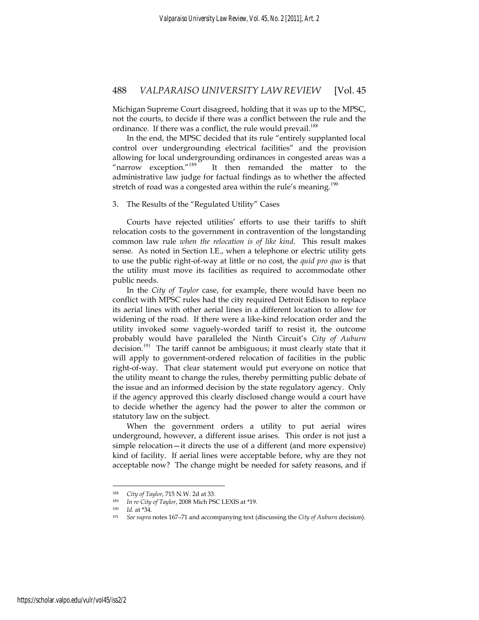Michigan Supreme Court disagreed, holding that it was up to the MPSC, not the courts, to decide if there was a conflict between the rule and the ordinance. If there was a conflict, the rule would prevail.<sup>188</sup>

In the end, the MPSC decided that its rule "entirely supplanted local control over undergrounding electrical facilities" and the provision allowing for local undergrounding ordinances in congested areas was a "narrow exception."<sup>189</sup> It then remanded the matter to the administrative law judge for factual findings as to whether the affected stretch of road was a congested area within the rule's meaning.<sup>190</sup>

#### 3. The Results of the "Regulated Utility" Cases

Courts have rejected utilities' efforts to use their tariffs to shift relocation costs to the government in contravention of the longstanding common law rule *when the relocation is of like kind*. This result makes sense. As noted in Section I.E., when a telephone or electric utility gets to use the public right-of-way at little or no cost, the *quid pro quo* is that the utility must move its facilities as required to accommodate other public needs.

In the *City of Taylor* case, for example, there would have been no conflict with MPSC rules had the city required Detroit Edison to replace its aerial lines with other aerial lines in a different location to allow for widening of the road. If there were a like-kind relocation order and the utility invoked some vaguely-worded tariff to resist it, the outcome probably would have paralleled the Ninth Circuit's *City of Auburn* decision.<sup>191</sup> The tariff cannot be ambiguous; it must clearly state that it will apply to government-ordered relocation of facilities in the public right-of-way. That clear statement would put everyone on notice that the utility meant to change the rules, thereby permitting public debate of the issue and an informed decision by the state regulatory agency. Only if the agency approved this clearly disclosed change would a court have to decide whether the agency had the power to alter the common or statutory law on the subject.

When the government orders a utility to put aerial wires underground, however, a different issue arises. This order is not just a simple relocation—it directs the use of a different (and more expensive) kind of facility. If aerial lines were acceptable before, why are they not acceptable now? The change might be needed for safety reasons, and if

<sup>&</sup>lt;sup>188</sup> City of Taylor, 715 N.W. 2d at 33.<br><sup>189</sup> In re City of Taylor, 2008 Mich PSC LEXIS at \*19.<br><sup>190</sup> Id. at \*34.<br><sup>191</sup> See supra notes 167–71 and accompanying text (discussing the City of Auburn decision).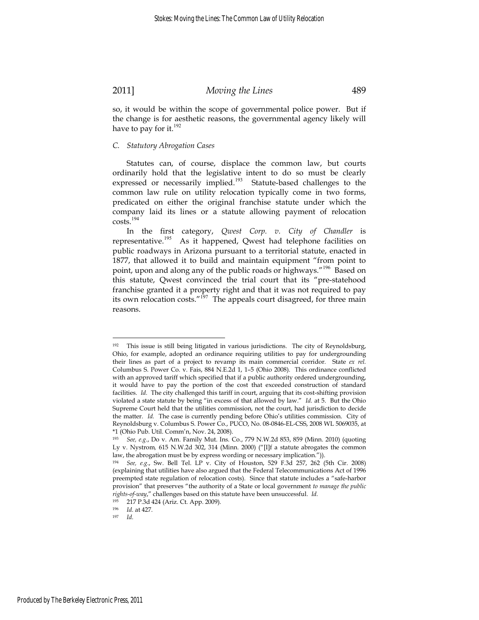so, it would be within the scope of governmental police power. But if the change is for aesthetic reasons, the governmental agency likely will have to pay for it. $^{192}$ 

#### *C. Statutory Abrogation Cases*

Statutes can, of course, displace the common law, but courts ordinarily hold that the legislative intent to do so must be clearly expressed or necessarily implied.<sup>193</sup> Statute-based challenges to the common law rule on utility relocation typically come in two forms, predicated on either the original franchise statute under which the company laid its lines or a statute allowing payment of relocation costs.<sup>194</sup>

In the first category, *Qwest Corp. v. City of Chandler* is representative.<sup>195</sup> As it happened, Qwest had telephone facilities on public roadways in Arizona pursuant to a territorial statute, enacted in 1877, that allowed it to build and maintain equipment "from point to point, upon and along any of the public roads or highways."<sup>196</sup> Based on this statute, Qwest convinced the trial court that its "pre-statehood franchise granted it a property right and that it was not required to pay its own relocation costs." $197$  The appeals court disagreed, for three main reasons.

<sup>192</sup> This issue is still being litigated in various jurisdictions. The city of Reynoldsburg, Ohio, for example, adopted an ordinance requiring utilities to pay for undergrounding their lines as part of a project to revamp its main commercial corridor. State *ex rel.* Columbus S. Power Co. v. Fais, 884 N.E.2d 1, 1–5 (Ohio 2008). This ordinance conflicted with an approved tariff which specified that if a public authority ordered undergrounding, it would have to pay the portion of the cost that exceeded construction of standard facilities. *Id.* The city challenged this tariff in court, arguing that its cost-shifting provision violated a state statute by being "in excess of that allowed by law." *Id.* at 5. But the Ohio Supreme Court held that the utilities commission, not the court, had jurisdiction to decide the matter. *Id.* The case is currently pending before Ohio's utilities commission. City of Reynoldsburg v. Columbus S. Power Co*.*, PUCO, No. 08-0846-EL-CSS, 2008 WL 5069035, at \*1 (Ohio Pub. Util. Comm'n, Nov. 24, 2008).

<sup>193</sup> *See, e.g*., Do v. Am. Family Mut. Ins. Co., 779 N.W.2d 853, 859 (Minn. 2010) (quoting Ly v. Nystrom*,* 615 N.W.2d 302, 314 (Minn. 2000) ("[I]f a statute abrogates the common law, the abrogation must be by express wording or necessary implication.")).

<sup>194</sup> *See, e.g*., Sw. Bell Tel. LP v. City of Houston, 529 F.3d 257, 262 (5th Cir. 2008) (explaining that utilities have also argued that the Federal Telecommunications Act of 1996 preempted state regulation of relocation costs). Since that statute includes a "safe-harbor provision" that preserves "the authority of a State or local government *to manage the public rights-of-way*," challenges based on this statute have been unsuccessful. *Id.*

<sup>195 217</sup> P.3d 424 (Ariz. Ct. App. 2009).

<sup>196</sup> *Id.* at 427. 197 *Id.*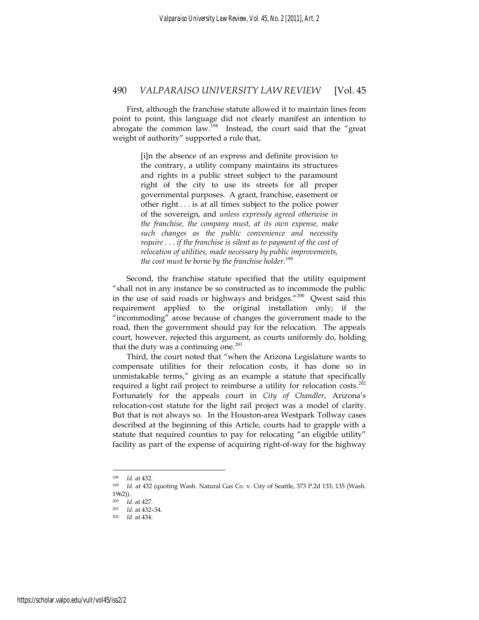First, although the franchise statute allowed it to maintain lines from point to point, this language did not clearly manifest an intention to abrogate the common  $\lim_{h \to 0}$  Instead, the court said that the "great" weight of authority" supported a rule that,

> [i]n the absence of an express and definite provision to the contrary, a utility company maintains its structures and rights in a public street subject to the paramount right of the city to use its streets for all proper governmental purposes. A grant, franchise, easement or other right . . . is at all times subject to the police power of the sovereign, and *unless expressly agreed otherwise in the franchise, the company must, at its own expense, make such changes as the public convenience and necessity require . . . if the franchise is silent as to payment of the cost of relocation of utilities, made necessary by public improvements, the cost must be borne by the franchise holder.*<sup>199</sup>

Second, the franchise statute specified that the utility equipment "shall not in any instance be so constructed as to incommode the public in the use of said roads or highways and bridges."<sup>200</sup> Qwest said this requirement applied to the original installation only; if the "incommoding" arose because of changes the government made to the road, then the government should pay for the relocation. The appeals court, however, rejected this argument, as courts uniformly do, holding that the duty was a continuing one. $^{201}$ 

Third, the court noted that "when the Arizona Legislature wants to compensate utilities for their relocation costs, it has done so in unmistakable terms," giving as an example a statute that specifically required a light rail project to reimburse a utility for relocation costs. $202$ Fortunately for the appeals court in *City of Chandler*, Arizona's relocation-cost statute for the light rail project was a model of clarity. But that is not always so. In the Houston-area Westpark Tollway cases described at the beginning of this Article, courts had to grapple with a statute that required counties to pay for relocating "an eligible utility" facility as part of the expense of acquiring right-of-way for the highway

<sup>198</sup> *Id.* at 432. 199 *Id.* at 432 (quoting Wash. Natural Gas Co. v. City of Seattle, 373 P.2d 133, 135 (Wash. 1962)).<br><sup>200</sup> *Id* 

<sup>200</sup> *Id*. at 427. 201 *Id*. at 432–34. 202 *Id.* at 434.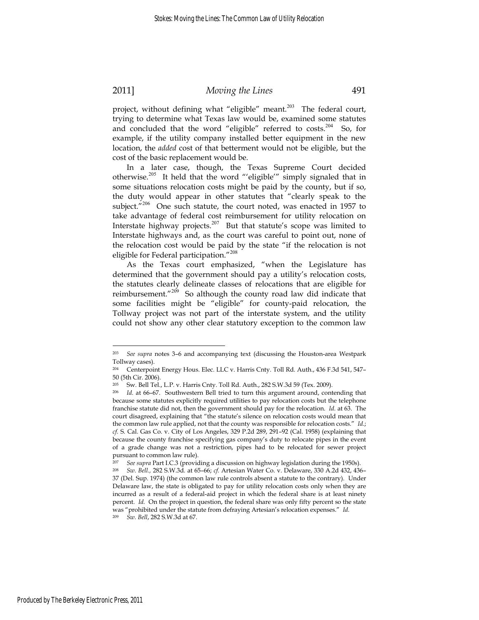1

# 2011] *Moving the Lines* 491

project, without defining what "eligible" meant. $203$  The federal court, trying to determine what Texas law would be, examined some statutes and concluded that the word "eligible" referred to costs.<sup>204</sup> So, for example, if the utility company installed better equipment in the new location, the *added* cost of that betterment would not be eligible, but the cost of the basic replacement would be.

In a later case, though, the Texas Supreme Court decided otherwise.<sup>205</sup> It held that the word "'eligible'" simply signaled that in some situations relocation costs might be paid by the county, but if so, the duty would appear in other statutes that "clearly speak to the subject."<sup>206</sup> One such statute, the court noted, was enacted in 1957 to take advantage of federal cost reimbursement for utility relocation on Interstate highway projects.<sup>207</sup> But that statute's scope was limited to Interstate highways and, as the court was careful to point out, none of the relocation cost would be paid by the state "if the relocation is not eligible for Federal participation."<sup>208</sup>

As the Texas court emphasized, "when the Legislature has determined that the government should pay a utility's relocation costs, the statutes clearly delineate classes of relocations that are eligible for reimbursement." $209$  So although the county road law did indicate that some facilities might be "eligible" for county-paid relocation, the Tollway project was not part of the interstate system, and the utility could not show any other clear statutory exception to the common law

<sup>203</sup> *See supra* notes 3–6 and accompanying text (discussing the Houston-area Westpark Tollway cases).

<sup>204</sup> Centerpoint Energy Hous. Elec. LLC v. Harris Cnty. Toll Rd. Auth., 436 F.3d 541, 547– 50 (5th Cir. 2006).

<sup>205</sup> Sw. Bell Tel., L.P. v. Harris Cnty. Toll Rd. Auth., 282 S.W.3d 59 (Tex. 2009).

Id. at 66-67. Southwestern Bell tried to turn this argument around, contending that because some statutes explicitly required utilities to pay relocation costs but the telephone franchise statute did not, then the government should pay for the relocation. *Id.* at 63. The court disagreed, explaining that "the statute's silence on relocation costs would mean that the common law rule applied, not that the county was responsible for relocation costs." *Id.*; *cf.* S. Cal. Gas Co. v. City of Los Angeles, 329 P.2d 289, 291–92 (Cal. 1958) (explaining that because the county franchise specifying gas company's duty to relocate pipes in the event of a grade change was not a restriction, pipes had to be relocated for sewer project pursuant to common law rule).

<sup>207</sup> *See supra* Part I.C.3 (providing a discussion on highway legislation during the 1950s). 208 *Sw. Bell.,* 282 S.W.3d*.* at 65–66; *cf.* Artesian Water Co. v. Delaware, 330 A.2d 432, 436–

<sup>37 (</sup>Del. Sup. 1974) (the common law rule controls absent a statute to the contrary). Under Delaware law, the state is obligated to pay for utility relocation costs only when they are incurred as a result of a federal-aid project in which the federal share is at least ninety percent. *Id.* On the project in question, the federal share was only fifty percent so the state was "prohibited under the statute from defraying Artesian's relocation expenses." *Id.* <sup>209</sup> *Sw. Bell*, 282 S.W.3d at 67.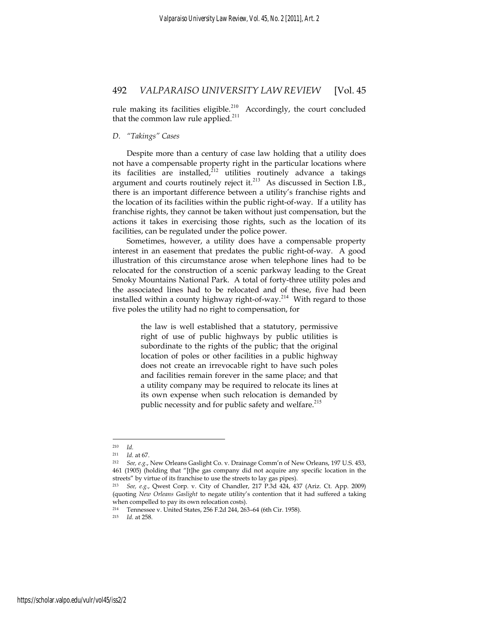rule making its facilities eligible. $210$  Accordingly, the court concluded that the common law rule applied. $2^{11}$ 

#### *D. "Takings" Cases*

Despite more than a century of case law holding that a utility does not have a compensable property right in the particular locations where its facilities are installed, $2^{12}$  utilities routinely advance a takings argument and courts routinely reject it. $^{213}$  As discussed in Section I.B., there is an important difference between a utility's franchise rights and the location of its facilities within the public right-of-way. If a utility has franchise rights, they cannot be taken without just compensation, but the actions it takes in exercising those rights, such as the location of its facilities, can be regulated under the police power.

Sometimes, however, a utility does have a compensable property interest in an easement that predates the public right-of-way. A good illustration of this circumstance arose when telephone lines had to be relocated for the construction of a scenic parkway leading to the Great Smoky Mountains National Park. A total of forty-three utility poles and the associated lines had to be relocated and of these, five had been installed within a county highway right-of-way.<sup>214</sup> With regard to those five poles the utility had no right to compensation, for

> the law is well established that a statutory, permissive right of use of public highways by public utilities is subordinate to the rights of the public; that the original location of poles or other facilities in a public highway does not create an irrevocable right to have such poles and facilities remain forever in the same place; and that a utility company may be required to relocate its lines at its own expense when such relocation is demanded by public necessity and for public safety and welfare.<sup>215</sup>

<sup>210</sup> *Id.*

<sup>211</sup> *Id.* at 67. 212 *See, e.g.*, New Orleans Gaslight Co. v. Drainage Comm'n of New Orleans, 197 U.S. 453, 461 (1905) (holding that "[t]he gas company did not acquire any specific location in the streets" by virtue of its franchise to use the streets to lay gas pipes).

<sup>213</sup> *See, e.g.*, Qwest Corp. v. City of Chandler, 217 P.3d 424, 437 (Ariz. Ct. App. 2009) (quoting *New Orleans Gaslight* to negate utility's contention that it had suffered a taking when compelled to pay its own relocation costs).

<sup>&</sup>lt;sup>214</sup> Tennessee v. United States, 256 F.2d 244, 263–64 (6th Cir. 1958).<br><sup>215</sup> Id. at 258

*Id.* at 258.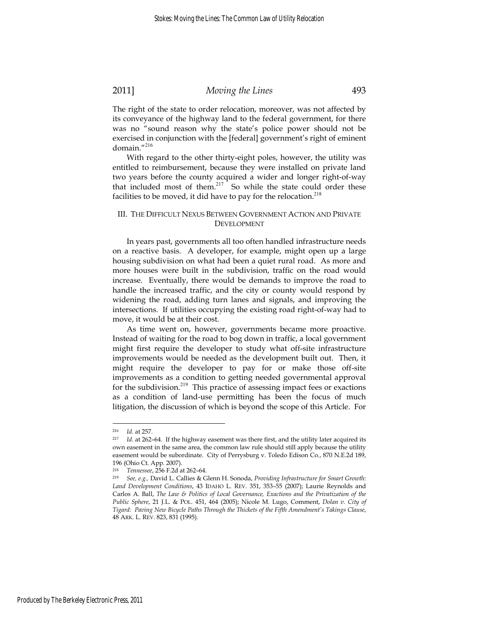The right of the state to order relocation, moreover, was not affected by its conveyance of the highway land to the federal government, for there was no "sound reason why the state's police power should not be exercised in conjunction with the [federal] government's right of eminent domain."<sup>216</sup>

With regard to the other thirty-eight poles, however, the utility was entitled to reimbursement, because they were installed on private land two years before the county acquired a wider and longer right-of-way that included most of them. $217$  So while the state could order these facilities to be moved, it did have to pay for the relocation.<sup>218</sup>

#### III. THE DIFFICULT NEXUS BETWEEN GOVERNMENT ACTION AND PRIVATE DEVELOPMENT

In years past, governments all too often handled infrastructure needs on a reactive basis. A developer, for example, might open up a large housing subdivision on what had been a quiet rural road. As more and more houses were built in the subdivision, traffic on the road would increase. Eventually, there would be demands to improve the road to handle the increased traffic, and the city or county would respond by widening the road, adding turn lanes and signals, and improving the intersections. If utilities occupying the existing road right-of-way had to move, it would be at their cost.

As time went on, however, governments became more proactive. Instead of waiting for the road to bog down in traffic, a local government might first require the developer to study what off-site infrastructure improvements would be needed as the development built out. Then, it might require the developer to pay for or make those off-site improvements as a condition to getting needed governmental approval for the subdivision.<sup>219</sup> This practice of assessing impact fees or exactions as a condition of land-use permitting has been the focus of much litigation, the discussion of which is beyond the scope of this Article. For

<sup>216</sup> *Id.* at 257. 217 *Id.* at 262–64. If the highway easement was there first, and the utility later acquired its own easement in the same area, the common law rule should still apply because the utility easement would be subordinate. City of Perrysburg v. Toledo Edison Co*.*, 870 N.E.2d 189, 196 (Ohio Ct. App. 2007).

<sup>218</sup> *Tennessee*, 256 F.2d at 262–64. 219 *See, e.g.,* David L. Callies & Glenn H. Sonoda, *Providing Infrastructure for Smart Growth: Land Development Conditions*, 43 IDAHO L. REV. 351, 353–55 (2007); Laurie Reynolds and Carlos A. Ball, *The Law & Politics of Local Governance, Exactions and the Privatization of the Public Sphere*, 21 J.L. & POL. 451, 464 (2005); Nicole M. Lugo, Comment, *Dolan v. City of Tigard: Paving New Bicycle Paths Through the Thickets of the Fifth Amendment's Takings Clause*, 48 ARK. L. REV. 823, 831 (1995).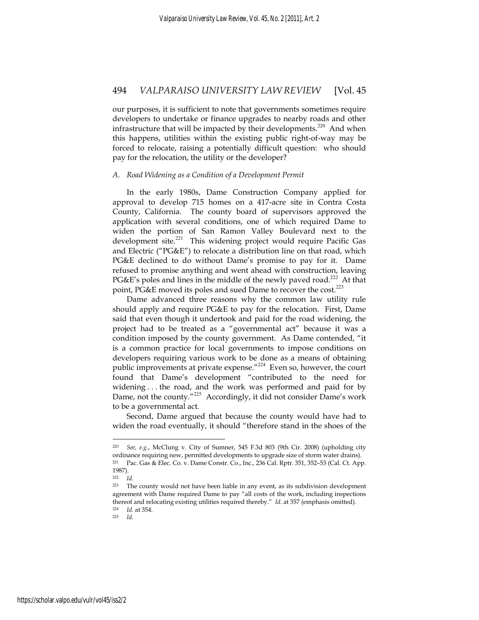our purposes, it is sufficient to note that governments sometimes require developers to undertake or finance upgrades to nearby roads and other infrastructure that will be impacted by their developments.<sup>220</sup> And when this happens, utilities within the existing public right-of-way may be forced to relocate, raising a potentially difficult question: who should pay for the relocation, the utility or the developer?

#### *A. Road Widening as a Condition of a Development Permit*

In the early 1980s, Dame Construction Company applied for approval to develop 715 homes on a 417-acre site in Contra Costa County, California. The county board of supervisors approved the application with several conditions, one of which required Dame to widen the portion of San Ramon Valley Boulevard next to the development site.<sup>221</sup> This widening project would require Pacific Gas and Electric ("PG&E") to relocate a distribution line on that road, which PG&E declined to do without Dame's promise to pay for it. Dame refused to promise anything and went ahead with construction, leaving PG&E's poles and lines in the middle of the newly paved road.<sup>222</sup> At that point, PG&E moved its poles and sued Dame to recover the cost.<sup>223</sup>

Dame advanced three reasons why the common law utility rule should apply and require PG&E to pay for the relocation. First, Dame said that even though it undertook and paid for the road widening, the project had to be treated as a "governmental act" because it was a condition imposed by the county government. As Dame contended, "it is a common practice for local governments to impose conditions on developers requiring various work to be done as a means of obtaining public improvements at private expense."<sup>224</sup> Even so, however, the court found that Dame's development "contributed to the need for widening . . . the road, and the work was performed and paid for by Dame, not the county."<sup>225</sup> Accordingly, it did not consider Dame's work to be a governmental act.

Second, Dame argued that because the county would have had to widen the road eventually, it should "therefore stand in the shoes of the

<sup>220</sup> *See, e.g.*, McClung v. City of Sumner, 545 F.3d 803 (9th Cir. 2008) (upholding city ordinance requiring new, permitted developments to upgrade size of storm water drains). 221 Pac. Gas & Elec. Co. v. Dame Constr. Co., Inc., 236 Cal. Rptr. 351, 352–53 (Cal. Ct. App. 1987).

<sup>222</sup> *Id.*

<sup>223</sup> The county would not have been liable in any event, as its subdivision development agreement with Dame required Dame to pay "all costs of the work, including inspections thereof and relocating existing utilities required thereby." *Id.* at 357 (emphasis omitted).<br><sup>224</sup> *Id.* at 354. *Id.*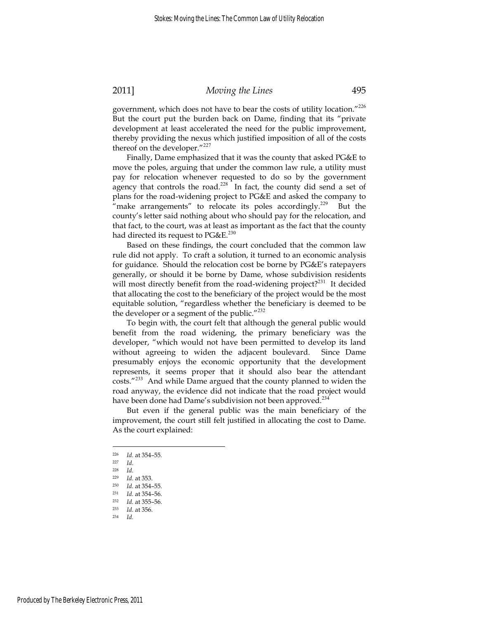government, which does not have to bear the costs of utility location."<sup>226</sup> But the court put the burden back on Dame, finding that its "private development at least accelerated the need for the public improvement, thereby providing the nexus which justified imposition of all of the costs thereof on the developer."<sup>227</sup>

Finally, Dame emphasized that it was the county that asked PG&E to move the poles, arguing that under the common law rule, a utility must pay for relocation whenever requested to do so by the government agency that controls the road.<sup>228</sup> In fact, the county did send a set of plans for the road-widening project to PG&E and asked the company to "make arrangements" to relocate its poles accordingly.<sup>229</sup> But the county's letter said nothing about who should pay for the relocation, and that fact, to the court, was at least as important as the fact that the county had directed its request to  $PG\&E.^{230}$ 

Based on these findings, the court concluded that the common law rule did not apply. To craft a solution, it turned to an economic analysis for guidance. Should the relocation cost be borne by PG&E's ratepayers generally, or should it be borne by Dame, whose subdivision residents will most directly benefit from the road-widening project?<sup>231</sup> It decided that allocating the cost to the beneficiary of the project would be the most equitable solution, "regardless whether the beneficiary is deemed to be the developer or a segment of the public."<sup>232</sup>

To begin with, the court felt that although the general public would benefit from the road widening, the primary beneficiary was the developer, "which would not have been permitted to develop its land without agreeing to widen the adjacent boulevard. Since Dame presumably enjoys the economic opportunity that the development represents, it seems proper that it should also bear the attendant costs."<sup>233</sup> And while Dame argued that the county planned to widen the road anyway, the evidence did not indicate that the road project would have been done had Dame's subdivision not been approved.<sup>234</sup>

But even if the general public was the main beneficiary of the improvement, the court still felt justified in allocating the cost to Dame. As the court explained:

<sup>226</sup> *Id.* at 354–55*.*

<sup>227</sup> *Id*. 228 *Id.*

<sup>229</sup> *Id.* at 353. 230 *Id.* at 354–55. 231 *Id.* at 354–56. 232 *Id.* at 355–56. 233 *Id.* at 356. 234 *Id.*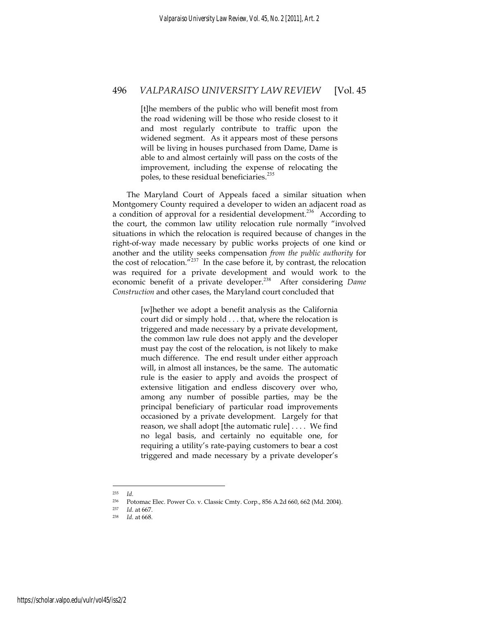[t]he members of the public who will benefit most from the road widening will be those who reside closest to it and most regularly contribute to traffic upon the widened segment. As it appears most of these persons will be living in houses purchased from Dame, Dame is able to and almost certainly will pass on the costs of the improvement, including the expense of relocating the poles, to these residual beneficiaries.<sup>235</sup>

The Maryland Court of Appeals faced a similar situation when Montgomery County required a developer to widen an adjacent road as a condition of approval for a residential development.<sup>236</sup> According to the court, the common law utility relocation rule normally "involved situations in which the relocation is required because of changes in the right-of-way made necessary by public works projects of one kind or another and the utility seeks compensation *from the public authority* for the cost of relocation." $237$  In the case before it, by contrast, the relocation was required for a private development and would work to the economic benefit of a private developer.<sup>238</sup> After considering *Dame Construction* and other cases, the Maryland court concluded that

> [w]hether we adopt a benefit analysis as the California court did or simply hold . . . that, where the relocation is triggered and made necessary by a private development, the common law rule does not apply and the developer must pay the cost of the relocation, is not likely to make much difference. The end result under either approach will, in almost all instances, be the same. The automatic rule is the easier to apply and avoids the prospect of extensive litigation and endless discovery over who, among any number of possible parties, may be the principal beneficiary of particular road improvements occasioned by a private development. Largely for that reason, we shall adopt [the automatic rule] . . . . We find no legal basis, and certainly no equitable one, for requiring a utility's rate-paying customers to bear a cost triggered and made necessary by a private developer's

<sup>235</sup> *Id.*

<sup>236</sup> Potomac Elec. Power Co. v. Classic Cmty. Corp*.*, 856 A.2d 660, 662 (Md. 2004). 237 *Id.* at 667. 238 *Id.* at 668.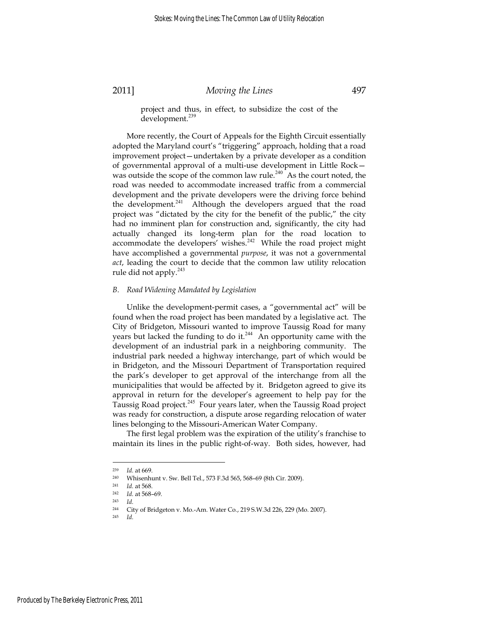project and thus, in effect, to subsidize the cost of the development.<sup>239</sup>

More recently, the Court of Appeals for the Eighth Circuit essentially adopted the Maryland court's "triggering" approach, holding that a road improvement project—undertaken by a private developer as a condition of governmental approval of a multi-use development in Little Rock was outside the scope of the common law rule.<sup>240</sup> As the court noted, the road was needed to accommodate increased traffic from a commercial development and the private developers were the driving force behind the development.<sup>241</sup> Although the developers argued that the road project was "dictated by the city for the benefit of the public," the city had no imminent plan for construction and, significantly, the city had actually changed its long-term plan for the road location to accommodate the developers' wishes. $242$  While the road project might have accomplished a governmental *purpose*, it was not a governmental *act*, leading the court to decide that the common law utility relocation rule did not apply.<sup>243</sup>

#### *B. Road Widening Mandated by Legislation*

Unlike the development-permit cases, a "governmental act" will be found when the road project has been mandated by a legislative act. The City of Bridgeton, Missouri wanted to improve Taussig Road for many years but lacked the funding to do it.<sup>244</sup> An opportunity came with the development of an industrial park in a neighboring community. The industrial park needed a highway interchange, part of which would be in Bridgeton, and the Missouri Department of Transportation required the park's developer to get approval of the interchange from all the municipalities that would be affected by it. Bridgeton agreed to give its approval in return for the developer's agreement to help pay for the Taussig Road project.<sup>245</sup> Four years later, when the Taussig Road project was ready for construction, a dispute arose regarding relocation of water lines belonging to the Missouri-American Water Company.

The first legal problem was the expiration of the utility's franchise to maintain its lines in the public right-of-way. Both sides, however, had

<sup>&</sup>lt;sup>239</sup> *Id.* at 669.<br><sup>240</sup> Whisenhunt v. Sw. Bell Tel., 573 F.3d 565, 568–69 (8th Cir. 2009).<br><sup>241</sup> *Id.* at 568

<sup>241</sup> *Id.* at 568. 242 *Id.* at 568–69. 243 *Id.*

<sup>244</sup> City of Bridgeton v. Mo.-Am. Water Co*.*, 219 S.W.3d 226, 229 (Mo. 2007). 245 *Id.*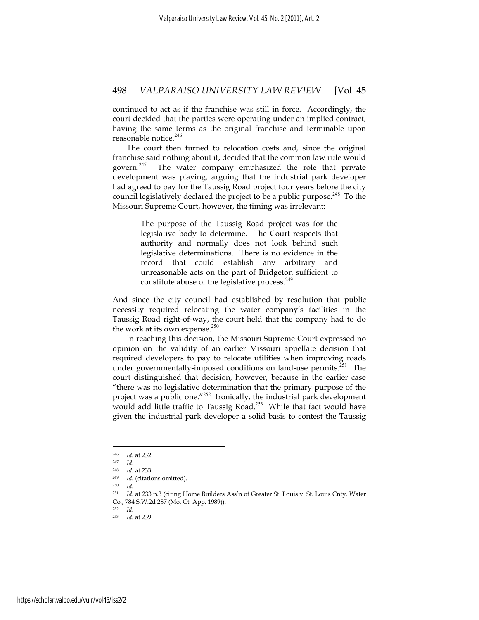continued to act as if the franchise was still in force. Accordingly, the court decided that the parties were operating under an implied contract, having the same terms as the original franchise and terminable upon reasonable notice.<sup>246</sup>

The court then turned to relocation costs and, since the original franchise said nothing about it, decided that the common law rule would govern. $247$  The water company emphasized the role that private development was playing, arguing that the industrial park developer had agreed to pay for the Taussig Road project four years before the city council legislatively declared the project to be a public purpose.<sup>248</sup> To the Missouri Supreme Court, however, the timing was irrelevant:

> The purpose of the Taussig Road project was for the legislative body to determine. The Court respects that authority and normally does not look behind such legislative determinations. There is no evidence in the record that could establish any arbitrary and unreasonable acts on the part of Bridgeton sufficient to constitute abuse of the legislative process.<sup>249</sup>

And since the city council had established by resolution that public necessity required relocating the water company's facilities in the Taussig Road right-of-way, the court held that the company had to do the work at its own expense. $250$ 

In reaching this decision, the Missouri Supreme Court expressed no opinion on the validity of an earlier Missouri appellate decision that required developers to pay to relocate utilities when improving roads under governmentally-imposed conditions on land-use permits.<sup>251</sup> The court distinguished that decision, however, because in the earlier case "there was no legislative determination that the primary purpose of the project was a public one."<sup>252</sup> Ironically, the industrial park development would add little traffic to Taussig Road.<sup>253</sup> While that fact would have given the industrial park developer a solid basis to contest the Taussig

<sup>246</sup> *Id.* at 232. 247 *Id*. 248 *Id.* at 233. 249 *Id.* (citations omitted). 250 *Id.*

<sup>&</sup>lt;sup>251</sup> *Id.* at 233 n.3 (citing Home Builders Ass'n of Greater St. Louis v. St. Louis Cnty. Water Co*.*, 784 S.W.2d 287 (Mo. Ct. App. 1989)). 252 *Id*. 253 *Id.* at 239.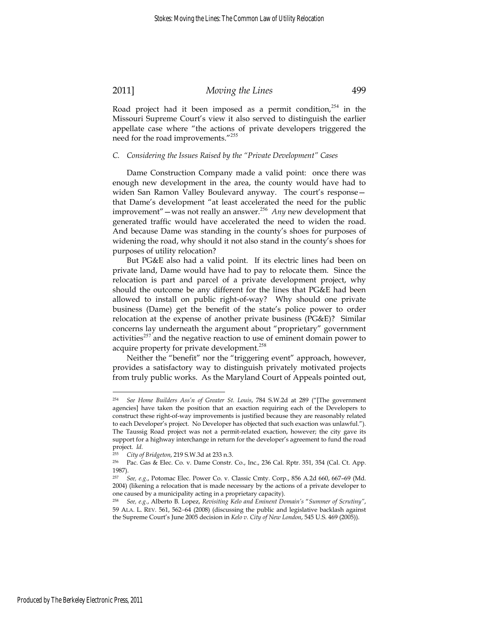Road project had it been imposed as a permit condition, $254$  in the Missouri Supreme Court's view it also served to distinguish the earlier appellate case where "the actions of private developers triggered the need for the road improvements."<sup>255</sup>

#### *C. Considering the Issues Raised by the "Private Development" Cases*

Dame Construction Company made a valid point: once there was enough new development in the area, the county would have had to widen San Ramon Valley Boulevard anyway. The court's response that Dame's development "at least accelerated the need for the public improvement"—was not really an answer.<sup>256</sup> *Any* new development that generated traffic would have accelerated the need to widen the road. And because Dame was standing in the county's shoes for purposes of widening the road, why should it not also stand in the county's shoes for purposes of utility relocation?

But PG&E also had a valid point. If its electric lines had been on private land, Dame would have had to pay to relocate them. Since the relocation is part and parcel of a private development project, why should the outcome be any different for the lines that PG&E had been allowed to install on public right-of-way? Why should one private business (Dame) get the benefit of the state's police power to order relocation at the expense of another private business (PG&E)? Similar concerns lay underneath the argument about "proprietary" government activities<sup>257</sup> and the negative reaction to use of eminent domain power to acquire property for private development.<sup>258</sup>

Neither the "benefit" nor the "triggering event" approach, however, provides a satisfactory way to distinguish privately motivated projects from truly public works. As the Maryland Court of Appeals pointed out,

<sup>254</sup> *See Home Builders Ass'n of Greater St. Louis*, 784 S.W.2d at 289 ("[The government agencies] have taken the position that an exaction requiring each of the Developers to construct these right-of-way improvements is justified because they are reasonably related to each Developer's project. No Developer has objected that such exaction was unlawful."). The Taussig Road project was not a permit-related exaction, however; the city gave its support for a highway interchange in return for the developer's agreement to fund the road project. *Id.*

<sup>255</sup> *City of Bridgeton*, 219 S.W.3d at 233 n.3. 256 Pac. Gas & Elec. Co. v. Dame Constr. Co., Inc., 236 Cal. Rptr. 351, 354 (Cal. Ct. App. 1987).

<sup>257</sup> *See, e.g*., Potomac Elec. Power Co. v. Classic Cmty. Corp., 856 A.2d 660, 667–69 (Md. 2004) (likening a relocation that is made necessary by the actions of a private developer to one caused by a municipality acting in a proprietary capacity).<br><sup>258</sup> See e.o. Alberto B Lonez, Revisiting Kelo and Eminent Do

<sup>258</sup> *See, e.g.*, Alberto B. Lopez, *Revisiting Kelo and Eminent Domain's* "*Summer of Scrutiny"*, 59 ALA. L. REV. 561, 562−64 (2008) (discussing the public and legislative backlash against the Supreme Court's June 2005 decision in *Kelo v. City of New London*, 545 U.S. 469 (2005)).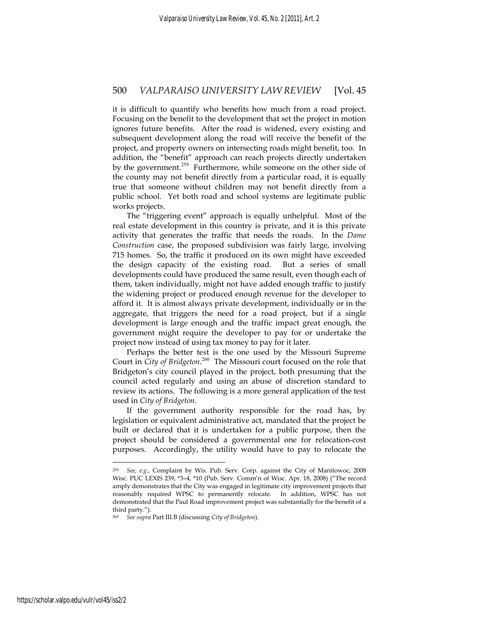it is difficult to quantify who benefits how much from a road project. Focusing on the benefit to the development that set the project in motion ignores future benefits. After the road is widened, every existing and subsequent development along the road will receive the benefit of the project, and property owners on intersecting roads might benefit, too. In addition, the "benefit" approach can reach projects directly undertaken by the government.<sup>259</sup> Furthermore, while someone on the other side of the county may not benefit directly from a particular road, it is equally true that someone without children may not benefit directly from a public school. Yet both road and school systems are legitimate public works projects.

The "triggering event" approach is equally unhelpful. Most of the real estate development in this country is private, and it is this private activity that generates the traffic that needs the roads. In the *Dame Construction* case, the proposed subdivision was fairly large, involving 715 homes. So, the traffic it produced on its own might have exceeded the design capacity of the existing road. But a series of small developments could have produced the same result, even though each of them, taken individually, might not have added enough traffic to justify the widening project or produced enough revenue for the developer to afford it. It is almost always private development, individually or in the aggregate, that triggers the need for a road project, but if a single development is large enough and the traffic impact great enough, the government might require the developer to pay for or undertake the project now instead of using tax money to pay for it later.

Perhaps the better test is the one used by the Missouri Supreme Court in *City of Bridgeton*.<sup>260</sup> The Missouri court focused on the role that Bridgeton's city council played in the project, both presuming that the council acted regularly and using an abuse of discretion standard to review its actions. The following is a more general application of the test used in *City of Bridgeton*.

If the government authority responsible for the road has, by legislation or equivalent administrative act, mandated that the project be built or declared that it is undertaken for a public purpose, then the project should be considered a governmental one for relocation-cost purposes. Accordingly, the utility would have to pay to relocate the

<sup>259</sup> *See, e.g*., Complaint by Wis. Pub. Serv. Corp. against the City of Manitowoc, 2008 Wisc. PUC LEXIS 239, \*3–4, \*10 (Pub. Serv. Comm'n of Wisc. Apr. 18, 2008) ("The record amply demonstrates that the City was engaged in legitimate city improvement projects that reasonably required WPSC to permanently relocate. In addition, WPSC has not demonstrated that the Paul Road improvement project was substantially for the benefit of a third party.").

<sup>260</sup> *See supra* Part III.B (discussing *City of Bridgeton*).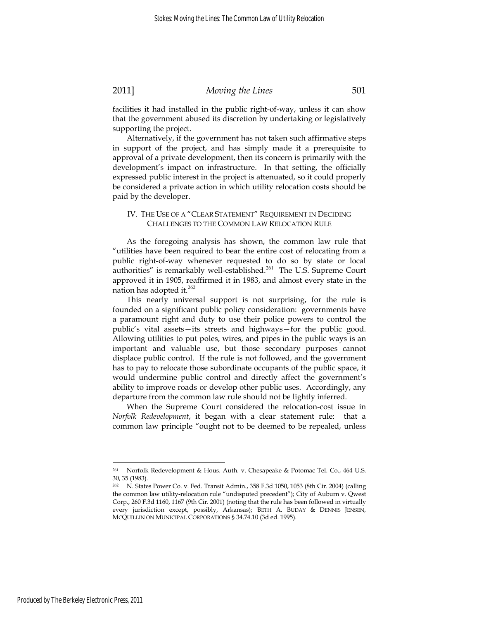facilities it had installed in the public right-of-way, unless it can show that the government abused its discretion by undertaking or legislatively supporting the project.

Alternatively, if the government has not taken such affirmative steps in support of the project, and has simply made it a prerequisite to approval of a private development, then its concern is primarily with the development's impact on infrastructure. In that setting, the officially expressed public interest in the project is attenuated, so it could properly be considered a private action in which utility relocation costs should be paid by the developer.

### IV. THE USE OF A "CLEAR STATEMENT" REQUIREMENT IN DECIDING CHALLENGES TO THE COMMON LAW RELOCATION RULE

As the foregoing analysis has shown, the common law rule that "utilities have been required to bear the entire cost of relocating from a public right-of-way whenever requested to do so by state or local authorities" is remarkably well-established.<sup>261</sup> The U.S. Supreme Court approved it in 1905, reaffirmed it in 1983, and almost every state in the nation has adopted it.<sup>262</sup>

This nearly universal support is not surprising, for the rule is founded on a significant public policy consideration: governments have a paramount right and duty to use their police powers to control the public's vital assets—its streets and highways—for the public good. Allowing utilities to put poles, wires, and pipes in the public ways is an important and valuable use, but those secondary purposes cannot displace public control. If the rule is not followed, and the government has to pay to relocate those subordinate occupants of the public space, it would undermine public control and directly affect the government's ability to improve roads or develop other public uses. Accordingly, any departure from the common law rule should not be lightly inferred.

When the Supreme Court considered the relocation-cost issue in *Norfolk Redevelopment*, it began with a clear statement rule: that a common law principle "ought not to be deemed to be repealed, unless

<sup>261</sup> Norfolk Redevelopment & Hous. Auth. v. Chesapeake & Potomac Tel. Co*.*, 464 U.S. 30, 35 (1983).

<sup>262</sup> N. States Power Co. v. Fed. Transit Admin., 358 F.3d 1050, 1053 (8th Cir. 2004) (calling the common law utility-relocation rule "undisputed precedent"); City of Auburn v. Qwest Corp*.*, 260 F.3d 1160, 1167 (9th Cir. 2001) (noting that the rule has been followed in virtually every jurisdiction except, possibly, Arkansas); BETH A. BUDAY & DENNIS JENSEN, MCQUILLIN ON MUNICIPAL CORPORATIONS § 34.74.10 (3d ed. 1995).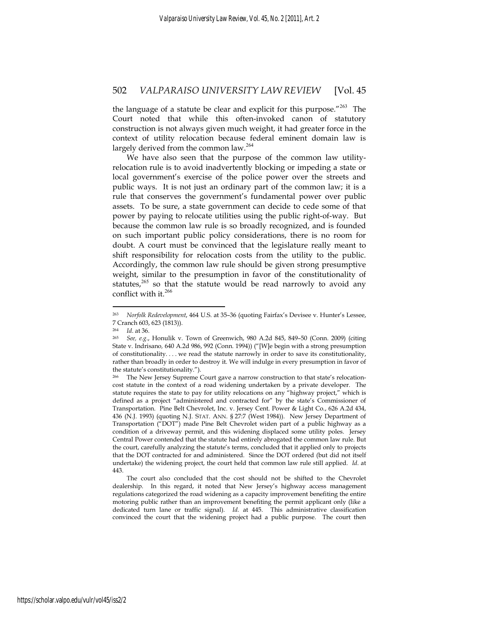the language of a statute be clear and explicit for this purpose."<sup>263</sup> The Court noted that while this often-invoked canon of statutory construction is not always given much weight, it had greater force in the context of utility relocation because federal eminent domain law is largely derived from the common law.<sup>264</sup>

We have also seen that the purpose of the common law utilityrelocation rule is to avoid inadvertently blocking or impeding a state or local government's exercise of the police power over the streets and public ways. It is not just an ordinary part of the common law; it is a rule that conserves the government's fundamental power over public assets. To be sure, a state government can decide to cede some of that power by paying to relocate utilities using the public right-of-way. But because the common law rule is so broadly recognized, and is founded on such important public policy considerations, there is no room for doubt. A court must be convinced that the legislature really meant to shift responsibility for relocation costs from the utility to the public. Accordingly, the common law rule should be given strong presumptive weight, similar to the presumption in favor of the constitutionality of statutes,<sup>265</sup> so that the statute would be read narrowly to avoid any conflict with it.<sup>266</sup>

<sup>263</sup> *Norfolk Redevelopment*, 464 U.S. at 35–36 (quoting Fairfax's Devisee v. Hunter's Lessee, 7 Cranch 603, 623 (1813)).

<sup>264</sup> *Id*. at 36. 265 *See, e.g*., Honulik v. Town of Greenwich, 980 A.2d 845, 849–50 (Conn. 2009) (citing State v. Indrisano*,* 640 A.2d 986, 992 (Conn. 1994)) ("[W]e begin with a strong presumption of constitutionality. . . . we read the statute narrowly in order to save its constitutionality, rather than broadly in order to destroy it. We will indulge in every presumption in favor of the statute's constitutionality.").

<sup>&</sup>lt;sup>266</sup> The New Jersey Supreme Court gave a narrow construction to that state's relocationcost statute in the context of a road widening undertaken by a private developer. The statute requires the state to pay for utility relocations on any "highway project," which is defined as a project "administered and contracted for" by the state's Commissioner of Transportation. Pine Belt Chevrolet, Inc. v. Jersey Cent. Power & Light Co*.*, 626 A.2d 434, 436 (N.J. 1993) (quoting N.J. STAT. ANN. § 27:7 (West 1984)). New Jersey Department of Transportation ("DOT") made Pine Belt Chevrolet widen part of a public highway as a condition of a driveway permit, and this widening displaced some utility poles. Jersey Central Power contended that the statute had entirely abrogated the common law rule. But the court, carefully analyzing the statute's terms, concluded that it applied only to projects that the DOT contracted for and administered. Since the DOT ordered (but did not itself undertake) the widening project, the court held that common law rule still applied. *Id*. at 443.

The court also concluded that the cost should not be shifted to the Chevrolet dealership. In this regard, it noted that New Jersey's highway access management regulations categorized the road widening as a capacity improvement benefiting the entire motoring public rather than an improvement benefiting the permit applicant only (like a dedicated turn lane or traffic signal). *Id.* at 445. This administrative classification convinced the court that the widening project had a public purpose. The court then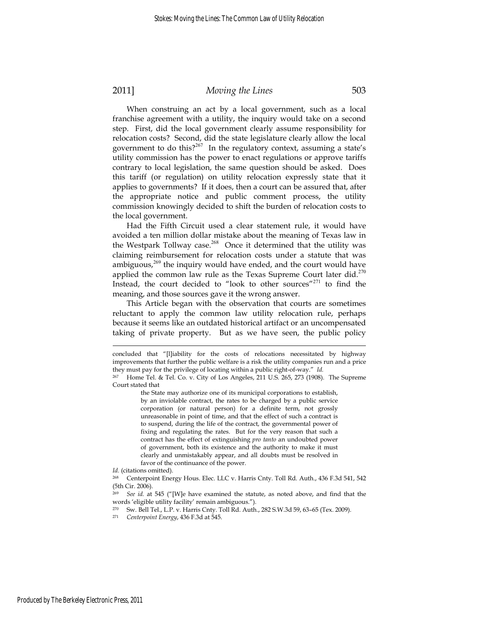When construing an act by a local government, such as a local franchise agreement with a utility, the inquiry would take on a second step. First, did the local government clearly assume responsibility for relocation costs? Second, did the state legislature clearly allow the local government to do this? $2^{67}$  In the regulatory context, assuming a state's utility commission has the power to enact regulations or approve tariffs contrary to local legislation, the same question should be asked. Does this tariff (or regulation) on utility relocation expressly state that it applies to governments? If it does, then a court can be assured that, after the appropriate notice and public comment process, the utility commission knowingly decided to shift the burden of relocation costs to the local government.

Had the Fifth Circuit used a clear statement rule, it would have avoided a ten million dollar mistake about the meaning of Texas law in the Westpark Tollway case.<sup>268</sup> Once it determined that the utility was claiming reimbursement for relocation costs under a statute that was ambiguous, $^{269}$  the inquiry would have ended, and the court would have applied the common law rule as the Texas Supreme Court later did. $270$ Instead, the court decided to "look to other sources"<sup>271</sup> to find the meaning, and those sources gave it the wrong answer.

This Article began with the observation that courts are sometimes reluctant to apply the common law utility relocation rule, perhaps because it seems like an outdated historical artifact or an uncompensated taking of private property. But as we have seen, the public policy

concluded that "[l]iability for the costs of relocations necessitated by highway improvements that further the public welfare is a risk the utility companies run and a price they must pay for the privilege of locating within a public right-of-way." *Id.*

<sup>267</sup> Home Tel. & Tel. Co. v. City of Los Angeles, 211 U.S. 265, 273 (1908). The Supreme Court stated that

the State may authorize one of its municipal corporations to establish, by an inviolable contract, the rates to be charged by a public service corporation (or natural person) for a definite term, not grossly unreasonable in point of time, and that the effect of such a contract is to suspend, during the life of the contract, the governmental power of fixing and regulating the rates. But for the very reason that such a contract has the effect of extinguishing *pro tanto* an undoubted power of government, both its existence and the authority to make it must clearly and unmistakably appear, and all doubts must be resolved in favor of the continuance of the power.

*Id.* (citations omitted). 268 Centerpoint Energy Hous. Elec. LLC v. Harris Cnty. Toll Rd. Auth., 436 F.3d 541, 542 (5th Cir. 2006).

<sup>269</sup> *See id.* at 545 ("[W]e have examined the statute, as noted above, and find that the words 'eligible utility facility' remain ambiguous.").

<sup>&</sup>lt;sup>270</sup> Sw. Bell Tel., L.P. v. Harris Cnty. Toll Rd. Auth., 282 S.W.3d 59, 63-65 (Tex. 2009).<br><sup>271</sup> Centernoint Eneroy 436 E 3d at 545

<sup>271</sup> *Centerpoint Energy*, 436 F.3d at 545.